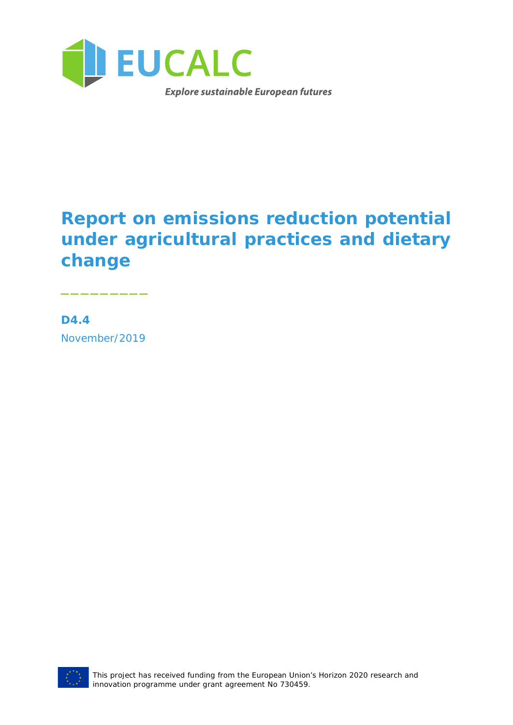

## **Report on emissions reduction potential under agricultural practices and dietary change**

**D4.4** November/2019

\_\_\_\_\_\_\_\_\_

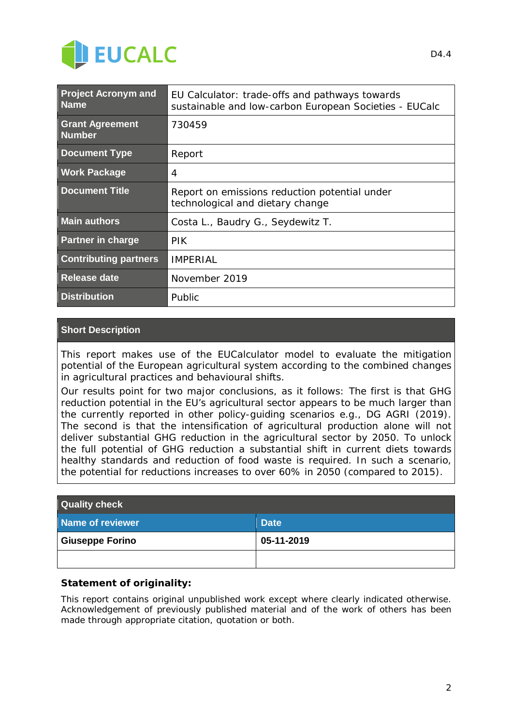

| <b>Project Acronym and</b><br><b>Name</b>                | EU Calculator: trade-offs and pathways towards<br>sustainable and low-carbon European Societies - EUCalc |  |
|----------------------------------------------------------|----------------------------------------------------------------------------------------------------------|--|
| <b>Grant Agreement</b><br><b>Number</b>                  | 730459                                                                                                   |  |
| <b>Document Type</b>                                     | Report                                                                                                   |  |
| <b>Work Package</b>                                      | $\overline{4}$                                                                                           |  |
| <b>Document Title</b>                                    | Report on emissions reduction potential under<br>technological and dietary change                        |  |
| <b>Main authors</b><br>Costa L., Baudry G., Seydewitz T. |                                                                                                          |  |
| <b>Partner in charge</b>                                 | <b>PIK</b>                                                                                               |  |
| <b>Contributing partners</b>                             | IMPFRIAL                                                                                                 |  |
| <b>Release date</b>                                      | November 2019                                                                                            |  |
| <b>Distribution</b>                                      | Public                                                                                                   |  |

#### **Short Description**

*This report makes use of the EUCalculator model to evaluate the mitigation potential of the European agricultural system according to the combined changes in agricultural practices and behavioural shifts.*

*Our results point for two major conclusions, as it follows: The first is that GHG reduction potential in the EU's agricultural sector appears to be much larger than the currently reported in other policy-guiding scenarios e.g., DG AGRI (2019). The second is that the intensification of agricultural production alone will not deliver substantial GHG reduction in the agricultural sector by 2050. To unlock the full potential of GHG reduction a substantial shift in current diets towards healthy standards and reduction of food waste is required. In such a scenario, the potential for reductions increases to over 60% in 2050 (compared to 2015).*

| <b>Quality check</b>   |             |  |  |
|------------------------|-------------|--|--|
| Name of reviewer       | <b>Date</b> |  |  |
| <b>Giuseppe Forino</b> | 05-11-2019  |  |  |
|                        |             |  |  |

#### **Statement of originality:**

This report contains original unpublished work except where clearly indicated otherwise. Acknowledgement of previously published material and of the work of others has been made through appropriate citation, quotation or both.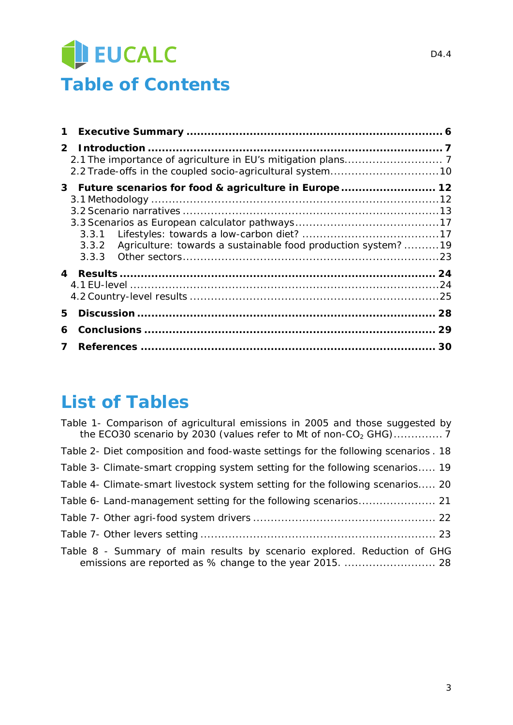## EUCALC **Table of Contents**

| 1           |       |                                                                                                                        |    |
|-------------|-------|------------------------------------------------------------------------------------------------------------------------|----|
| $2^{\circ}$ |       |                                                                                                                        |    |
|             | 3.3.2 | 3 Future scenarios for food & agriculture in Europe 12<br>Agriculture: towards a sustainable food production system?19 |    |
| 4           |       |                                                                                                                        |    |
| 5           |       |                                                                                                                        |    |
| 6           |       |                                                                                                                        | 29 |
| 7           |       |                                                                                                                        | 30 |

## **List of Tables**

| Table 1- Comparison of agricultural emissions in 2005 and those suggested by      |
|-----------------------------------------------------------------------------------|
| Table 2- Diet composition and food-waste settings for the following scenarios. 18 |
| Table 3- Climate-smart cropping system setting for the following scenarios 19     |
| Table 4- Climate-smart livestock system setting for the following scenarios 20    |
|                                                                                   |
|                                                                                   |
|                                                                                   |
| Table 8 - Summary of main results by scenario explored. Reduction of GHG          |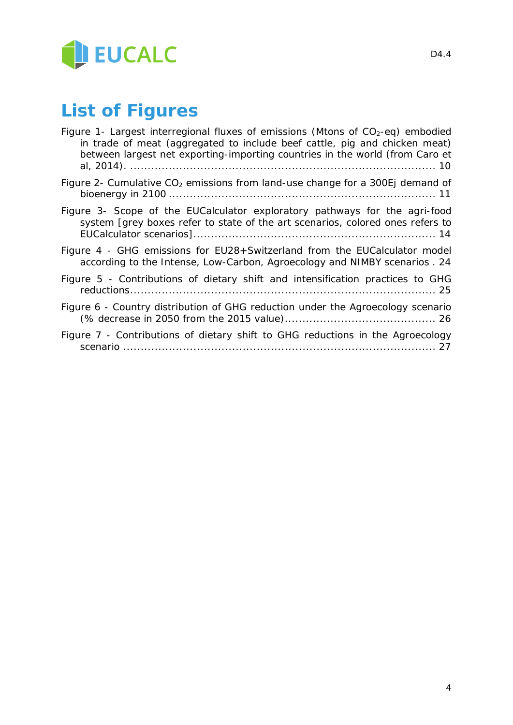

## **List of Figures**

| Figure 1- Largest interregional fluxes of emissions (Mtons of $CO2$ -eq) embodied<br>in trade of meat (aggregated to include beef cattle, pig and chicken meat)<br>between largest net exporting-importing countries in the world (from Caro et |
|-------------------------------------------------------------------------------------------------------------------------------------------------------------------------------------------------------------------------------------------------|
| Figure 2- Cumulative $CO2$ emissions from land-use change for a 300Ej demand of                                                                                                                                                                 |
| Figure 3- Scope of the EUCalculator exploratory pathways for the agri-food<br>system [grey boxes refer to state of the art scenarios, colored ones refers to                                                                                    |
| Figure 4 - GHG emissions for EU28+Switzerland from the EUCalculator model<br>according to the Intense, Low-Carbon, Agroecology and NIMBY scenarios . 24                                                                                         |
| Figure 5 - Contributions of dietary shift and intensification practices to GHG                                                                                                                                                                  |
| Figure 6 - Country distribution of GHG reduction under the Agroecology scenario                                                                                                                                                                 |
| Figure 7 - Contributions of dietary shift to GHG reductions in the Agroecology                                                                                                                                                                  |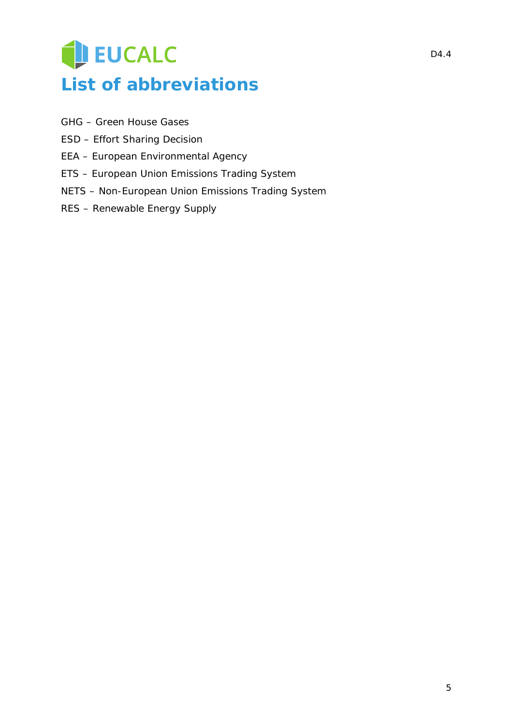## EUCALC **List of abbreviations**

- GHG Green House Gases
- ESD Effort Sharing Decision
- EEA European Environmental Agency
- ETS European Union Emissions Trading System
- NETS Non-European Union Emissions Trading System
- RES Renewable Energy Supply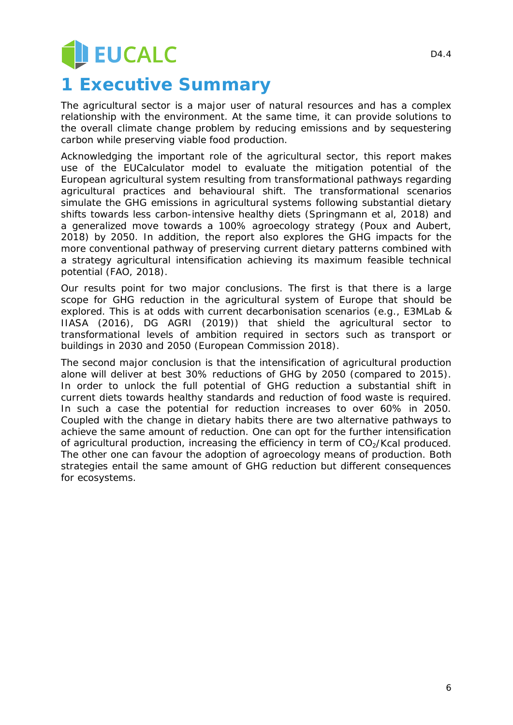# EUCALC

## **1 Executive Summary**

The agricultural sector is a major user of natural resources and has a complex relationship with the environment. At the same time, it can provide solutions to the overall climate change problem by reducing emissions and by sequestering carbon while preserving viable food production.

Acknowledging the important role of the agricultural sector, this report makes use of the EUCalculator model to evaluate the mitigation potential of the European agricultural system resulting from transformational pathways regarding agricultural practices and behavioural shift. The transformational scenarios simulate the GHG emissions in agricultural systems following substantial dietary shifts towards less carbon-intensive healthy diets (Springmann et al, 2018) and a generalized move towards a 100% agroecology strategy (Poux and Aubert, 2018) by 2050. In addition, the report also explores the GHG impacts for the more conventional pathway of preserving current dietary patterns combined with a strategy agricultural intensification achieving its maximum feasible technical potential (FAO, 2018).

Our results point for two major conclusions. The first is that there is a large scope for GHG reduction in the agricultural system of Europe that should be explored. This is at odds with current decarbonisation scenarios (e.g., E3MLab & IIASA (2016), DG AGRI (2019)) that shield the agricultural sector to transformational levels of ambition required in sectors such as transport or buildings in 2030 and 2050 (European Commission 2018).

The second major conclusion is that the intensification of agricultural production alone will deliver at best 30% reductions of GHG by 2050 (compared to 2015). In order to unlock the full potential of GHG reduction a substantial shift in current diets towards healthy standards and reduction of food waste is required. In such a case the potential for reduction increases to over 60% in 2050. Coupled with the change in dietary habits there are two alternative pathways to achieve the same amount of reduction. One can opt for the further intensification of agricultural production, increasing the efficiency in term of  $CO<sub>2</sub>/Kcal$  produced. The other one can favour the adoption of agroecology means of production. Both strategies entail the same amount of GHG reduction but different consequences for ecosystems.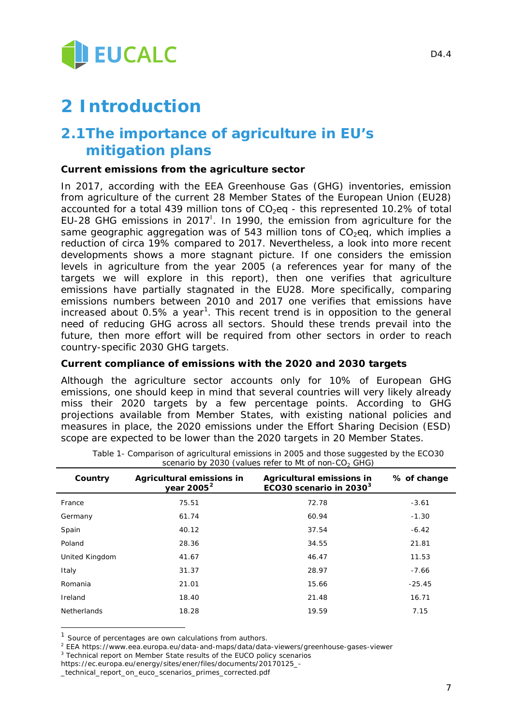

## **2 Introduction**

### <span id="page-6-4"></span>**2.1The importance of agriculture in EU's mitigation plans**

#### *Current emissions from the agriculture sector*

In 2017, according with the EEA Greenhouse Gas (GHG) inventories, emission from agriculture of the current 28 Member States of the European Union (EU28) accounted for a total 439 million tons of  $CO<sub>2</sub>$ eq - this represented 10.2% of total EU-28 GHG emissions in 2017<sup>1</sup>. In 1990, the emission from agriculture for the same geographic aggregation was of 543 million tons of  $CO<sub>2</sub>$ eg, which implies a reduction of circa 19% compared to 2017. Nevertheless, a look into more recent developments shows a more stagnant picture. If one considers the emission levels in agriculture from the year 2005 (a references year for many of the targets we will explore in this report), then one verifies that agriculture emissions have partially stagnated in the EU28. More specifically, comparing emissions numbers between 2010 and 2017 one verifies that emissions have increased about 0.5% a year<sup>[1](#page-6-0)</sup>. This recent trend is in opposition to the general need of reducing GHG across all sectors. Should these trends prevail into the future, then more effort will be required from other sectors in order to reach country-specific 2030 GHG targets.

#### *Current compliance of emissions with the 2020 and 2030 targets*

Although the agriculture sector accounts only for 10% of European GHG emissions, one should keep in mind that several countries will very likely already miss their 2020 targets by a few percentage points. According to GHG projections available from Member States, with existing national policies and measures in place, the 2020 emissions under the Effort Sharing Decision (ESD) scope are expected to be lower than the 2020 targets in 20 Member States.

<span id="page-6-3"></span>

| Country            | Agricultural emissions in<br>year $2005^2$ | Agricultural emissions in<br>ECO30 scenario in 2030 <sup>3</sup> | % of change |
|--------------------|--------------------------------------------|------------------------------------------------------------------|-------------|
| France             | 75.51                                      | 72.78                                                            | $-3.61$     |
| Germany            | 61.74                                      | 60.94                                                            | $-1.30$     |
| Spain              | 40.12                                      | 37.54                                                            | $-6.42$     |
| Poland             | 28.36                                      | 34.55                                                            | 21.81       |
| United Kingdom     | 41.67                                      | 46.47                                                            | 11.53       |
| Italy              | 31.37                                      | 28.97                                                            | $-7.66$     |
| Romania            | 21.01                                      | 15.66                                                            | $-25.45$    |
| Ireland            | 18.40                                      | 21.48                                                            | 16.71       |
| <b>Netherlands</b> | 18.28                                      | 19.59                                                            | 7.15        |

*Table 1- Comparison of agricultural emissions in 2005 and those suggested by the ECO30 scenario by 2030 (values refer to Mt of non-CO2 GHG)*

l

<span id="page-6-0"></span> $1$  Source of percentages are own calculations from authors.

<span id="page-6-1"></span><sup>2</sup> EEA https://www.eea.europa.eu/data-and-maps/data/data-viewers/greenhouse-gases-viewer

<span id="page-6-2"></span><sup>&</sup>lt;sup>3</sup> Technical report on Member State results of the EUCO policy scenarios

https://ec.europa.eu/energy/sites/ener/files/documents/20170125\_-

\_technical\_report\_on\_euco\_scenarios\_primes\_corrected.pdf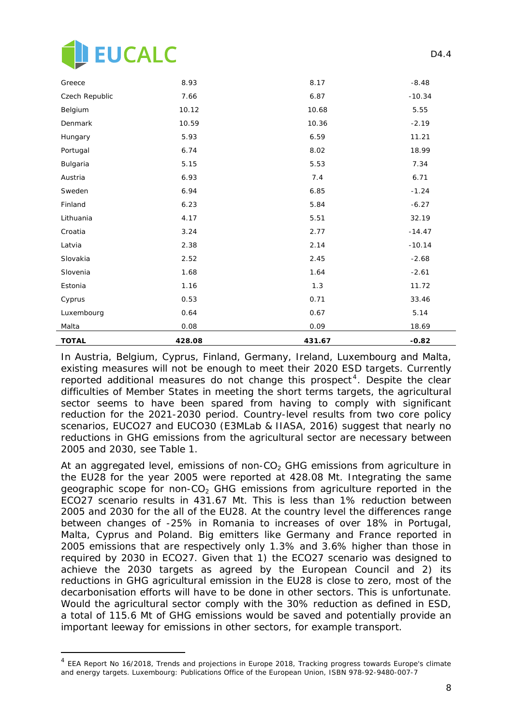

l,

| <b>TOTAL</b>   | 428.08 | 431.67 | $-0.82$  |
|----------------|--------|--------|----------|
| Malta          | 0.08   | 0.09   | 18.69    |
| Luxembourg     | 0.64   | 0.67   | 5.14     |
| Cyprus         | 0.53   | 0.71   | 33.46    |
| Estonia        | 1.16   | 1.3    | 11.72    |
| Slovenia       | 1.68   | 1.64   | $-2.61$  |
| Slovakia       | 2.52   | 2.45   | $-2.68$  |
| Latvia         | 2.38   | 2.14   | $-10.14$ |
| Croatia        | 3.24   | 2.77   | $-14.47$ |
| Lithuania      | 4.17   | 5.51   | 32.19    |
| Finland        | 6.23   | 5.84   | $-6.27$  |
| Sweden         | 6.94   | 6.85   | $-1.24$  |
| Austria        | 6.93   | 7.4    | 6.71     |
| Bulgaria       | 5.15   | 5.53   | 7.34     |
| Portugal       | 6.74   | 8.02   | 18.99    |
| Hungary        | 5.93   | 6.59   | 11.21    |
| Denmark        | 10.59  | 10.36  | $-2.19$  |
| Belgium        | 10.12  | 10.68  | 5.55     |
| Czech Republic | 7.66   | 6.87   | $-10.34$ |
| Greece         | 8.93   | 8.17   | $-8.48$  |

In Austria, Belgium, Cyprus, Finland, Germany, Ireland, Luxembourg and Malta, existing measures will not be enough to meet their 2020 ESD targets. Currently reported additional measures do not change this prospect<sup>[4](#page-7-0)</sup>. Despite the clear difficulties of Member States in meeting the short terms targets, the agricultural sector seems to have been spared from having to comply with significant reduction for the 2021-2030 period. Country-level results from two core policy scenarios, EUCO27 and EUCO30 (E3MLab & IIASA, 2016) suggest that nearly no reductions in GHG emissions from the agricultural sector are necessary between 2005 and 2030, see [Table 1.](#page-6-3)

At an aggregated level, emissions of non-CO<sub>2</sub> GHG emissions from agriculture in the EU28 for the year 2005 were reported at 428.08 Mt. Integrating the same geographic scope for non-CO<sub>2</sub> GHG emissions from agriculture reported in the ECO27 scenario results in 431.67 Mt. This is less than 1% reduction between 2005 and 2030 for the all of the EU28. At the country level the differences range between changes of -25% in Romania to increases of over 18% in Portugal, Malta, Cyprus and Poland. Big emitters like Germany and France reported in 2005 emissions that are respectively only 1.3% and 3.6% higher than those in required by 2030 in ECO27. Given that 1) the ECO27 scenario was designed to achieve the 2030 targets as agreed by the European Council and 2) its reductions in GHG agricultural emission in the EU28 is close to zero, most of the decarbonisation efforts will have to be done in other sectors. This is unfortunate. Would the agricultural sector comply with the 30% reduction as defined in ESD, a total of 115.6 Mt of GHG emissions would be saved and potentially provide an important leeway for emissions in other sectors, for example transport.

D<sub>4</sub> 4

<span id="page-7-0"></span><sup>&</sup>lt;sup>4</sup> EEA Report No 16/2018, Trends and projections in Europe 2018, Tracking progress towards Europe's climate and energy targets. Luxembourg: Publications Office of the European Union, ISBN 978-92-9480-007-7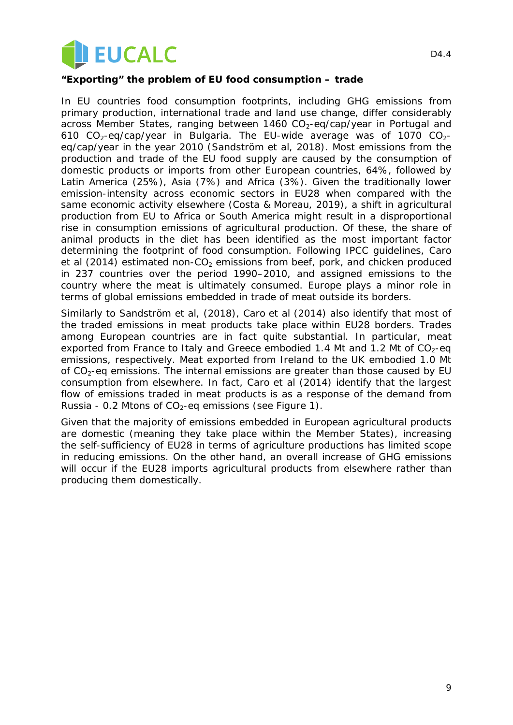

#### *"Exporting" the problem of EU food consumption – trade*

In EU countries food consumption footprints, including GHG emissions from primary production, international trade and land use change, differ considerably across Member States, ranging between  $1460 \text{ CO}_2$ -eg/cap/year in Portugal and 610  $CO_2$ -eq/cap/year in Bulgaria. The EU-wide average was of 1070  $CO_2$ eq/cap/year in the year 2010 (Sandström et al, 2018). Most emissions from the production and trade of the EU food supply are caused by the consumption of domestic products or imports from other European countries, 64%, followed by Latin America (25%), Asia (7%) and Africa (3%). Given the traditionally lower emission-intensity across economic sectors in EU28 when compared with the same economic activity elsewhere (Costa & Moreau, 2019), a shift in agricultural production from EU to Africa or South America might result in a disproportional rise in consumption emissions of agricultural production. Of these, the share of animal products in the diet has been identified as the most important factor determining the footprint of food consumption. Following IPCC guidelines, Caro et al (2014) estimated non- $CO<sub>2</sub>$  emissions from beef, pork, and chicken produced in 237 countries over the period 1990–2010, and assigned emissions to the country where the meat is ultimately consumed. Europe plays a minor role in terms of global emissions embedded in trade of meat outside its borders.

Similarly to Sandström et al, (2018), Caro et al (2014) also identify that most of the traded emissions in meat products take place within EU28 borders. Trades among European countries are in fact quite substantial. In particular, meat exported from France to Italy and Greece embodied 1.4 Mt and 1.2 Mt of  $CO<sub>2</sub>$ -eq emissions, respectively. Meat exported from Ireland to the UK embodied 1.0 Mt of  $CO<sub>2</sub>$ -eq emissions. The internal emissions are greater than those caused by EU consumption from elsewhere. In fact, Caro et al (2014) identify that the largest flow of emissions traded in meat products is as a response of the demand from Russia - 0.2 Mtons of  $CO<sub>2</sub>$ -eq emissions (see [Figure 1\)](#page-9-0).

Given that the majority of emissions embedded in European agricultural products are domestic (meaning they take place within the Member States), increasing the self-sufficiency of EU28 in terms of agriculture productions has limited scope in reducing emissions. On the other hand, an overall increase of GHG emissions will occur if the EU28 imports agricultural products from elsewhere rather than producing them domestically.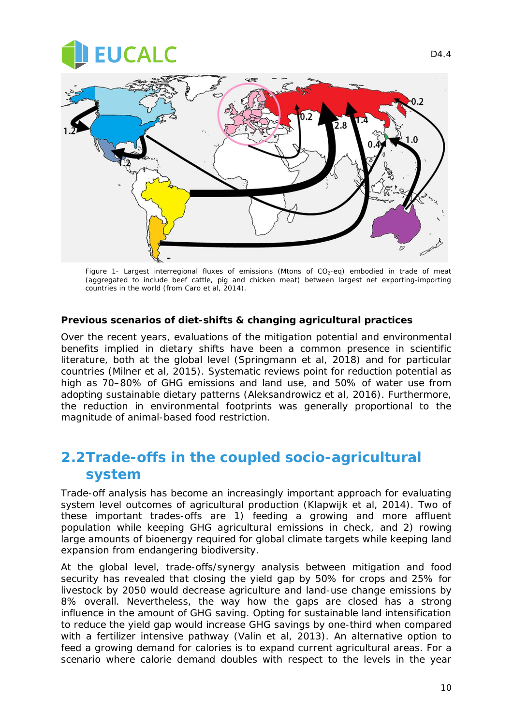## **UCALC**



*Figure 1- Largest interregional fluxes of emissions (Mtons of CO2-eq) embodied in trade of meat (aggregated to include beef cattle, pig and chicken meat) between largest net exporting-importing countries in the world (from Caro et al, 2014).*

#### <span id="page-9-0"></span>*Previous scenarios of diet-shifts & changing agricultural practices*

Over the recent years, evaluations of the mitigation potential and environmental benefits implied in dietary shifts have been a common presence in scientific literature, both at the global level (Springmann et al, 2018) and for particular countries (Milner et al, 2015). Systematic reviews point for reduction potential as high as 70–80% of GHG emissions and land use, and 50% of water use from adopting sustainable dietary patterns (Aleksandrowicz et al, 2016). Furthermore, the reduction in environmental footprints was generally proportional to the magnitude of animal-based food restriction.

### <span id="page-9-1"></span>**2.2Trade-offs in the coupled socio-agricultural system**

Trade-off analysis has become an increasingly important approach for evaluating system level outcomes of agricultural production (Klapwijk et al, 2014). Two of these important trades-offs are 1) feeding a growing and more affluent population while keeping GHG agricultural emissions in check, and 2) rowing large amounts of bioenergy required for global climate targets while keeping land expansion from endangering biodiversity.

At the global level, trade-offs/synergy analysis between mitigation and food security has revealed that closing the yield gap by 50% for crops and 25% for livestock by 2050 would decrease agriculture and land-use change emissions by 8% overall. Nevertheless, the way how the gaps are closed has a strong influence in the amount of GHG saving. Opting for sustainable land intensification to reduce the yield gap would increase GHG savings by one-third when compared with a fertilizer intensive pathway (Valin et al, 2013). An alternative option to feed a growing demand for calories is to expand current agricultural areas. For a scenario where calorie demand doubles with respect to the levels in the year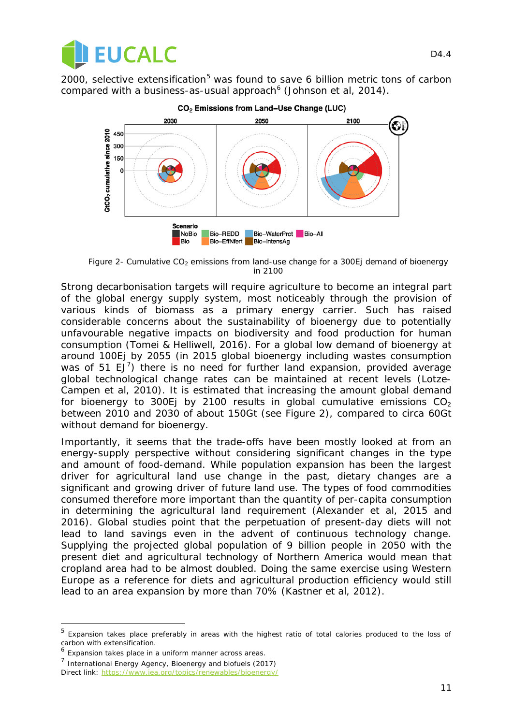

2000, selective extensification<sup>[5](#page-10-1)</sup> was found to save 6 billion metric tons of carbon compared with a business-as-usual approach $6$  (Johnson et al, 2014).



CO<sub>2</sub> Emissions from Land-Use Change (LUC)

<span id="page-10-0"></span>*Figure 2- Cumulative CO2 emissions from land-use change for a 300Ej demand of bioenergy in 2100* 

Strong decarbonisation targets will require agriculture to become an integral part of the global energy supply system, most noticeably through the provision of various kinds of biomass as a primary energy carrier. Such has raised considerable concerns about the sustainability of bioenergy due to potentially unfavourable negative impacts on biodiversity and food production for human consumption (Tomei & Helliwell, 2016). For a global low demand of bioenergy at around 100Ej by 2055 (in 2015 global bioenergy including wastes consumption was of 51 EJ<sup>[7](#page-10-3)</sup>) there is no need for further land expansion, provided average global technological change rates can be maintained at recent levels (Lotze-Campen et al, 2010). It is estimated that increasing the amount global demand for bioenergy to 300Ej by 2100 results in global cumulative emissions  $CO<sub>2</sub>$ between 2010 and 2030 of about 150Gt (see [Figure 2\)](#page-10-0), compared to circa 60Gt without demand for bioenergy.

Importantly, it seems that the trade-offs have been mostly looked at from an energy-supply perspective without considering significant changes in the type and amount of food-demand. While population expansion has been the largest driver for agricultural land use change in the past, dietary changes are a significant and growing driver of future land use. The types of food commodities consumed therefore more important than the quantity of per-capita consumption in determining the agricultural land requirement (Alexander et al, 2015 and 2016). Global studies point that the perpetuation of present-day diets will not lead to land savings even in the advent of continuous technology change. Supplying the projected global population of 9 billion people in 2050 with the present diet and agricultural technology of Northern America would mean that cropland area had to be almost doubled. Doing the same exercise using Western Europe as a reference for diets and agricultural production efficiency would still lead to an area expansion by more than 70% (Kastner et al, 2012).

l,

<span id="page-10-1"></span><sup>5</sup> Expansion takes place preferably in areas with the highest ratio of total calories produced to the loss of carbon with extensification.

<span id="page-10-2"></span><sup>&</sup>lt;sup>6</sup> Expansion takes place in a uniform manner across areas.

<span id="page-10-3"></span> $<sup>7</sup>$  International Energy Agency, Bioenergy and biofuels (2017)</sup> Direct link:<https://www.iea.org/topics/renewables/bioenergy/>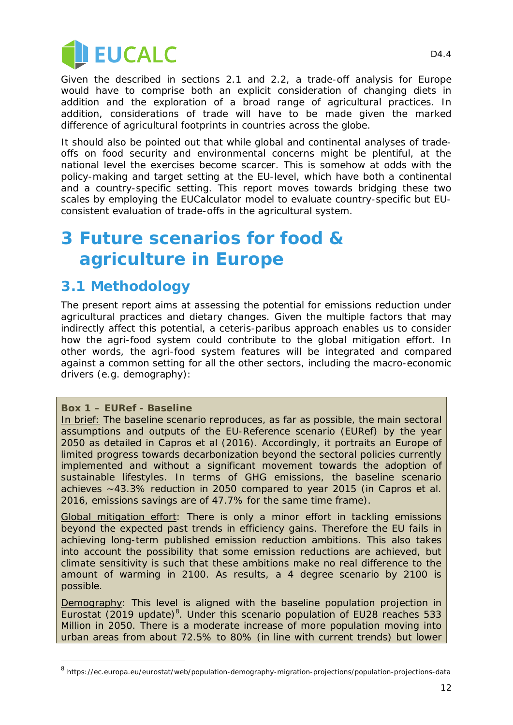

Given the described in sections [2.1](#page-6-4) and [2.2,](#page-9-1) a trade-off analysis for Europe would have to comprise both an explicit consideration of changing diets in addition and the exploration of a broad range of agricultural practices. In addition, considerations of trade will have to be made given the marked difference of agricultural footprints in countries across the globe.

It should also be pointed out that while global and continental analyses of tradeoffs on food security and environmental concerns might be plentiful, at the national level the exercises become scarcer. This is somehow at odds with the policy-making and target setting at the EU-level, which have both a continental and a country-specific setting. This report moves towards bridging these two scales by employing the EUCalculator model to evaluate country-specific but EUconsistent evaluation of trade-offs in the agricultural system.

## **3 Future scenarios for food & agriculture in Europe**

### **3.1 Methodology**

The present report aims at assessing the potential for emissions reduction under agricultural practices and dietary changes. Given the multiple factors that may indirectly affect this potential, a *ceteris-paribus* approach enables us to consider how the agri-food system could contribute to the global mitigation effort. In other words, the agri-food system features will be integrated and compared against a common setting for all the other sectors, including the macro-economic drivers (e.g. demography):

#### **Box 1 – EURef - Baseline**

l

In brief: The baseline scenario reproduces, as far as possible, the main sectoral assumptions and outputs of the EU-Reference scenario (EURef) by the year 2050 as detailed in Capros et al (2016). Accordingly, it portraits an Europe of limited progress towards decarbonization beyond the sectoral policies currently implemented and without a significant movement towards the adoption of sustainable lifestyles. In terms of GHG emissions, the baseline scenario achieves ~43.3% reduction in 2050 compared to year 2015 (in Capros et al. 2016, emissions savings are of 47.7% for the same time frame).

Global mitigation effort: There is only a minor effort in tackling emissions beyond the expected past trends in efficiency gains. Therefore the EU fails in achieving long-term published emission reduction ambitions. This also takes into account the possibility that some emission reductions are achieved, but climate sensitivity is such that these ambitions make no real difference to the amount of warming in 2100. As results, a 4 degree scenario by 2100 is possible.

Demography: This level is aligned with the baseline population projection in Eurostat (2019 update)<sup>[8](#page-11-0)</sup>. Under this scenario population of EU28 reaches 533 Million in 2050. There is a moderate increase of more population moving into urban areas from about 72.5% to 80% (in line with current trends) but lower

<span id="page-11-0"></span><sup>8</sup> https://ec.europa.eu/eurostat/web/population-demography-migration-projections/population-projections-data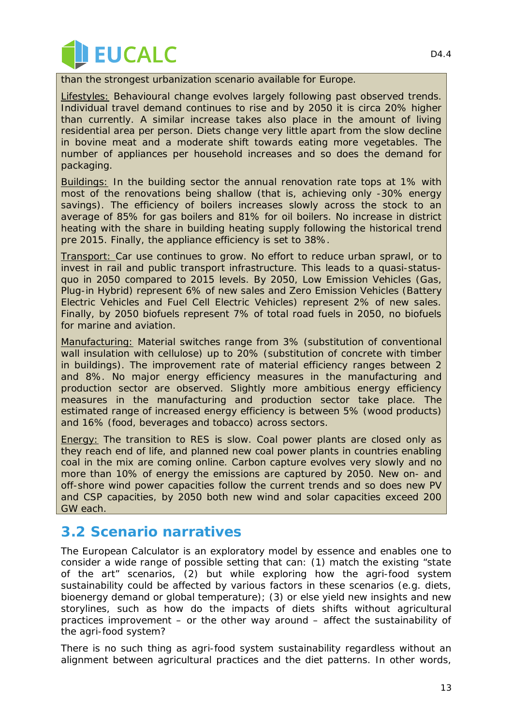

than the strongest urbanization scenario available for Europe.

**Lifestyles:** Behavioural change evolves largely following past observed trends. Individual travel demand continues to rise and by 2050 it is circa 20% higher than currently. A similar increase takes also place in the amount of living residential area per person. Diets change very little apart from the slow decline in bovine meat and a moderate shift towards eating more vegetables. The number of appliances per household increases and so does the demand for packaging.

Buildings: In the building sector the annual renovation rate tops at 1% with most of the renovations being shallow (that is, achieving only -30% energy savings). The efficiency of boilers increases slowly across the stock to an average of 85% for gas boilers and 81% for oil boilers. No increase in district heating with the share in building heating supply following the historical trend pre 2015. Finally, the appliance efficiency is set to 38%.

Transport: Car use continues to grow. No effort to reduce urban sprawl, or to invest in rail and public transport infrastructure. This leads to a quasi-statusquo in 2050 compared to 2015 levels. By 2050, Low Emission Vehicles (Gas, Plug-in Hybrid) represent 6% of new sales and Zero Emission Vehicles (Battery Electric Vehicles and Fuel Cell Electric Vehicles) represent 2% of new sales. Finally, by 2050 biofuels represent 7% of total road fuels in 2050, no biofuels for marine and aviation.

Manufacturing: Material switches range from 3% (substitution of conventional wall insulation with cellulose) up to 20% (substitution of concrete with timber in buildings). The improvement rate of material efficiency ranges between 2 and 8%. No major energy efficiency measures in the manufacturing and production sector are observed. Slightly more ambitious energy efficiency measures in the manufacturing and production sector take place. The estimated range of increased energy efficiency is between 5% (wood products) and 16% (food, beverages and tobacco) across sectors.

Energy: The transition to RES is slow. Coal power plants are closed only as they reach end of life, and planned new coal power plants in countries enabling coal in the mix are coming online. Carbon capture evolves very slowly and no more than 10% of energy the emissions are captured by 2050. New on- and off-shore wind power capacities follow the current trends and so does new PV and CSP capacities, by 2050 both new wind and solar capacities exceed 200 GW each.

### **3.2 Scenario narratives**

The European Calculator is an exploratory model by essence and enables one to consider a wide range of possible setting that can: (1) match the existing "state of the art" scenarios, (2) but while exploring how the agri-food system sustainability could be affected by various factors in these scenarios (e.g. diets, bioenergy demand or global temperature); (3) or else yield new insights and new storylines, such as how do the impacts of diets shifts without agricultural practices improvement – or the other way around – affect the sustainability of the agri-food system?

There is no such thing as agri-food system sustainability regardless without an alignment between agricultural practices and the diet patterns. In other words,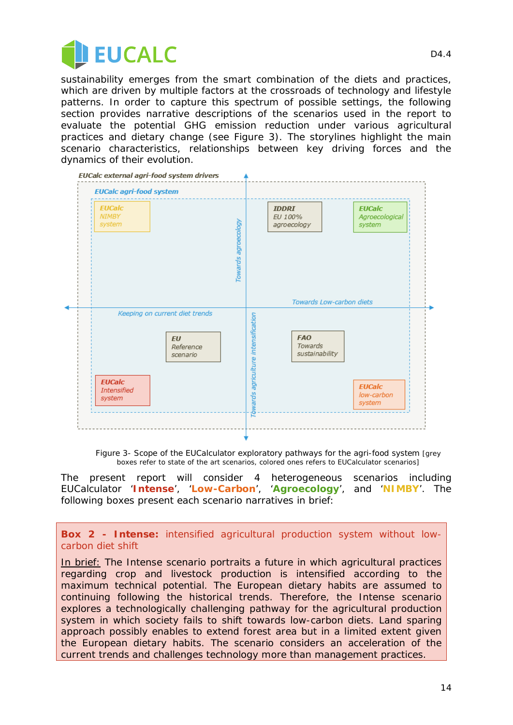

sustainability emerges from the smart combination of the diets and practices, which are driven by multiple factors at the crossroads of technology and lifestyle patterns. In order to capture this spectrum of possible settings, the following section provides narrative descriptions of the scenarios used in the report to evaluate the potential GHG emission reduction under various agricultural practices and dietary change (see Figure 3). The storylines highlight the main scenario characteristics, relationships between key driving forces and the dynamics of their evolution.



*Figure 3- Scope of the EUCalculator exploratory pathways for the agri-food system [grey boxes refer to state of the art scenarios, colored ones refers to EUCalculator scenarios]*

The present report will consider 4 heterogeneous scenarios including EUCalculator '**Intense**', '**Low-Carbon**', '**Agroecology**', and '**NIMBY**'. The following boxes present each scenario narratives in brief:

#### **Box 2 - Intense:** intensified agricultural production system without lowcarbon diet shift

In brief: The Intense scenario portraits a future in which agricultural practices regarding crop and livestock production is intensified according to the maximum technical potential. The European dietary habits are assumed to continuing following the historical trends. Therefore, the *Intense* scenario explores a technologically challenging pathway for the agricultural production system in which society fails to shift towards low-carbon diets. Land sparing approach possibly enables to extend forest area but in a limited extent given the European dietary habits. The scenario considers an acceleration of the current trends and challenges technology more than management practices.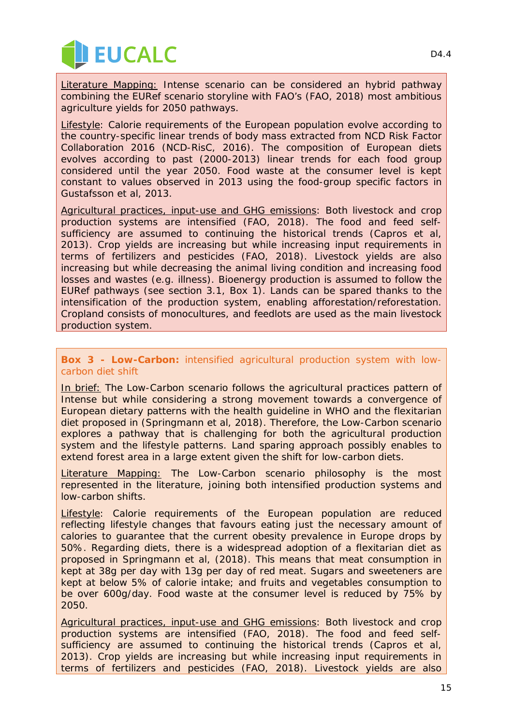

Literature Mapping: Intense scenario can be considered an hybrid pathway combining the EURef scenario storyline with FAO's (FAO, 2018) most ambitious agriculture yields for 2050 pathways.

Lifestyle: Calorie requirements of the European population evolve according to the country-specific linear trends of body mass extracted from NCD Risk Factor Collaboration 2016 (NCD-RisC, 2016). The composition of European diets evolves according to past (2000-2013) linear trends for each food group considered until the year 2050. Food waste at the consumer level is kept constant to values observed in 2013 using the food-group specific factors in Gustafsson et al, 2013.

Agricultural practices, input-use and GHG emissions: Both livestock and crop production systems are intensified (FAO, 2018). The food and feed selfsufficiency are assumed to continuing the historical trends (Capros et al, 2013). Crop yields are increasing but while increasing input requirements in terms of fertilizers and pesticides (FAO, 2018). Livestock yields are also increasing but while decreasing the animal living condition and increasing food losses and wastes (e.g. illness). Bioenergy production is assumed to follow the EURef pathways (see section 3.1, Box 1). Lands can be spared thanks to the intensification of the production system, enabling afforestation/reforestation. Cropland consists of monocultures, and feedlots are used as the main livestock production system.

#### **Box 3 - Low-Carbon:** intensified agricultural production system with lowcarbon diet shift

In brief: The Low-Carbon scenario follows the agricultural practices pattern of Intense but while considering a strong movement towards a convergence of European dietary patterns with the health guideline in WHO and the flexitarian diet proposed in (Springmann et al, 2018). Therefore, the Low-Carbon scenario explores a pathway that is challenging for both the agricultural production system and the lifestyle patterns. Land sparing approach possibly enables to extend forest area in a large extent given the shift for low-carbon diets.

Literature Mapping: The Low-Carbon scenario philosophy is the most represented in the literature, joining both intensified production systems and low-carbon shifts.

Lifestyle: Calorie requirements of the European population are reduced reflecting lifestyle changes that favours eating just the necessary amount of calories to guarantee that the current obesity prevalence in Europe drops by 50%. Regarding diets, there is a widespread adoption of a flexitarian diet as proposed in Springmann et al, (2018). This means that meat consumption in kept at 38g per day with 13g per day of red meat. Sugars and sweeteners are kept at below 5% of calorie intake; and fruits and vegetables consumption to be over 600g/day. Food waste at the consumer level is reduced by 75% by 2050.

Agricultural practices, input-use and GHG emissions: Both livestock and crop production systems are intensified (FAO, 2018). The food and feed selfsufficiency are assumed to continuing the historical trends (Capros et al, 2013). Crop yields are increasing but while increasing input requirements in terms of fertilizers and pesticides (FAO, 2018). Livestock yields are also

D<sub>4</sub> 4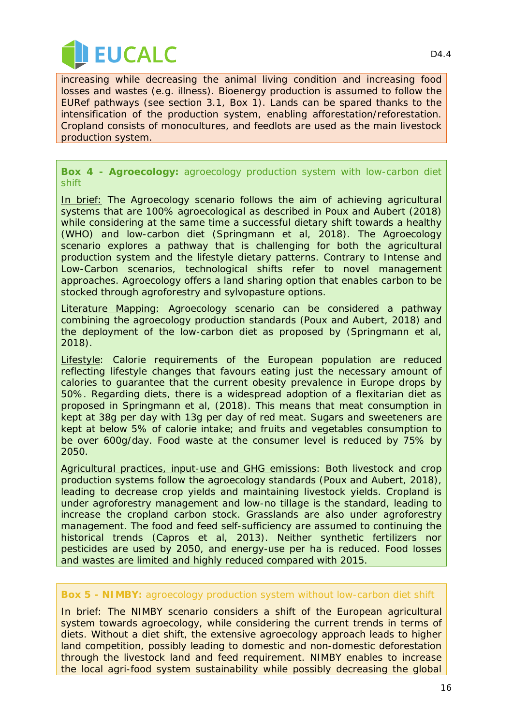

increasing while decreasing the animal living condition and increasing food losses and wastes (e.g. illness). Bioenergy production is assumed to follow the EURef pathways (see section 3.1, Box 1). Lands can be spared thanks to the intensification of the production system, enabling afforestation/reforestation. Cropland consists of monocultures, and feedlots are used as the main livestock production system.

**Box 4 - Agroecology:** agroecology production system with low-carbon diet shift

In brief: The Agroecology scenario follows the aim of achieving agricultural systems that are 100% agroecological as described in Poux and Aubert (2018) while considering at the same time a successful dietary shift towards a healthy (WHO) and low-carbon diet (Springmann et al, 2018). The Agroecology scenario explores a pathway that is challenging for both the agricultural production system and the lifestyle dietary patterns. Contrary to Intense and Low-Carbon scenarios, technological shifts refer to novel management approaches. Agroecology offers a land sharing option that enables carbon to be stocked through agroforestry and sylvopasture options.

Literature Mapping: Agroecology scenario can be considered a pathway combining the agroecology production standards (Poux and Aubert, 2018) and the deployment of the low-carbon diet as proposed by (Springmann et al, 2018).

Lifestyle: Calorie requirements of the European population are reduced reflecting lifestyle changes that favours eating just the necessary amount of calories to guarantee that the current obesity prevalence in Europe drops by 50%. Regarding diets, there is a widespread adoption of a flexitarian diet as proposed in Springmann et al, (2018). This means that meat consumption in kept at 38g per day with 13g per day of red meat. Sugars and sweeteners are kept at below 5% of calorie intake; and fruits and vegetables consumption to be over 600g/day. Food waste at the consumer level is reduced by 75% by 2050.

Agricultural practices, input-use and GHG emissions: Both livestock and crop production systems follow the agroecology standards (Poux and Aubert, 2018), leading to decrease crop yields and maintaining livestock yields. Cropland is under agroforestry management and low-no tillage is the standard, leading to increase the cropland carbon stock. Grasslands are also under agroforestry management. The food and feed self-sufficiency are assumed to continuing the historical trends (Capros et al, 2013). Neither synthetic fertilizers nor pesticides are used by 2050, and energy-use per ha is reduced. Food losses and wastes are limited and highly reduced compared with 2015.

#### **Box 5 - NIMBY:** agroecology production system without low-carbon diet shift

In brief: The NIMBY scenario considers a shift of the European agricultural system towards agroecology, while considering the current trends in terms of diets. Without a diet shift, the extensive agroecology approach leads to higher land competition, possibly leading to domestic and non-domestic deforestation through the livestock land and feed requirement. NIMBY enables to increase the local agri-food system sustainability while possibly decreasing the global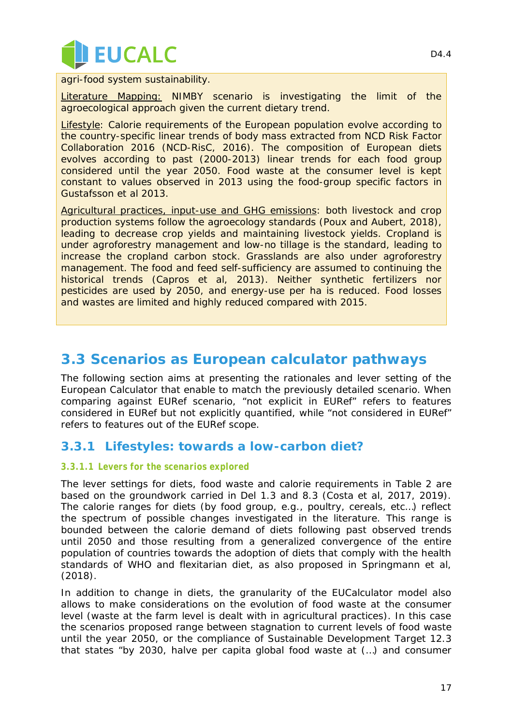

agri-food system sustainability.

Literature Mapping: NIMBY scenario is investigating the limit of the agroecological approach given the current dietary trend.

Lifestyle: Calorie requirements of the European population evolve according to the country-specific linear trends of body mass extracted from NCD Risk Factor Collaboration 2016 (NCD-RisC, 2016). The composition of European diets evolves according to past (2000-2013) linear trends for each food group considered until the year 2050. Food waste at the consumer level is kept constant to values observed in 2013 using the food-group specific factors in Gustafsson et al 2013.

Agricultural practices, input-use and GHG emissions: both livestock and crop production systems follow the agroecology standards (Poux and Aubert, 2018), leading to decrease crop yields and maintaining livestock yields. Cropland is under agroforestry management and low-no tillage is the standard, leading to increase the cropland carbon stock. Grasslands are also under agroforestry management. The food and feed self-sufficiency are assumed to continuing the historical trends (Capros et al, 2013). Neither synthetic fertilizers nor pesticides are used by 2050, and energy-use per ha is reduced. Food losses and wastes are limited and highly reduced compared with 2015.

### <span id="page-16-0"></span>**3.3 Scenarios as European calculator pathways**

The following section aims at presenting the rationales and lever setting of the European Calculator that enable to match the previously detailed scenario. When comparing against EURef scenario, "*not explicit in EURef*" refers to features considered in EURef but not explicitly quantified, while "*not considered in EURef*" refers to features out of the EURef scope.

#### **3.3.1 Lifestyles: towards a low-carbon diet?**

#### *3.3.1.1 Levers for the scenarios explored*

The lever settings for diets, food waste and calorie requirements in [Table 2](#page-17-0) are based on the groundwork carried in Del 1.3 and 8.3 (Costa et al, 2017, 2019). The calorie ranges for diets (by food group, e.g., poultry, cereals, etc…) reflect the spectrum of possible changes investigated in the literature. This range is bounded between the calorie demand of diets following past observed trends until 2050 and those resulting from a generalized convergence of the entire population of countries towards the adoption of diets that comply with the health standards of WHO and flexitarian diet, as also proposed in Springmann et al, (2018).

In addition to change in diets, the granularity of the EUCalculator model also allows to make considerations on the evolution of food waste at the consumer level (waste at the farm level is dealt with in agricultural practices). In this case the scenarios proposed range between stagnation to current levels of food waste until the year 2050, or the compliance of Sustainable Development Target 12.3 that states "b*y 2030, halve per capita global food waste at (…) and consumer*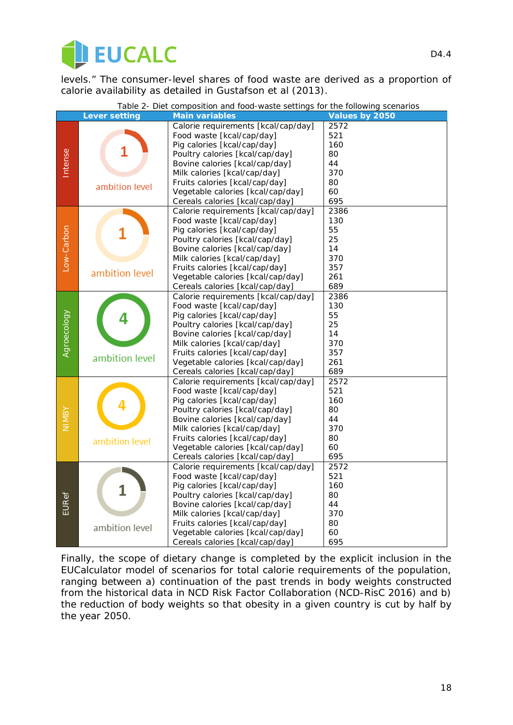

*levels."* The consumer-level shares of food waste are derived as a proportion of calorie availability as detailed in Gustafson et al (2013).

<span id="page-17-0"></span>

|             | Table 2- Diet composition and food-waste settings for the following scenarios |                                     |                |  |
|-------------|-------------------------------------------------------------------------------|-------------------------------------|----------------|--|
|             | <b>Lever setting</b>                                                          | <b>Main variables</b>               | Values by 2050 |  |
|             |                                                                               | Calorie requirements [kcal/cap/day] | 2572           |  |
|             |                                                                               | Food waste [kcal/cap/day]           | 521            |  |
|             |                                                                               | Pig calories [kcal/cap/day]         | 160            |  |
|             |                                                                               | Poultry calories [kcal/cap/day]     | 80             |  |
| Intense     |                                                                               | Bovine calories [kcal/cap/day]      | 44             |  |
|             |                                                                               | Milk calories [kcal/cap/day]        | 370            |  |
|             | ambition level                                                                | Fruits calories [kcal/cap/day]      | 80             |  |
|             |                                                                               | Vegetable calories [kcal/cap/day]   | 60             |  |
|             |                                                                               | Cereals calories [kcal/cap/day]     | 695            |  |
|             |                                                                               | Calorie requirements [kcal/cap/day] | 2386           |  |
|             |                                                                               | Food waste [kcal/cap/day]           | 130            |  |
|             |                                                                               | Pig calories [kcal/cap/day]         | 55             |  |
|             |                                                                               | Poultry calories [kcal/cap/day]     | 25             |  |
|             |                                                                               | Bovine calories [kcal/cap/day]      | 14             |  |
|             |                                                                               | Milk calories [kcal/cap/day]        | 370            |  |
| Low-Carbon  |                                                                               | Fruits calories [kcal/cap/day]      | 357            |  |
|             | ambition level                                                                | Vegetable calories [kcal/cap/day]   | 261            |  |
|             |                                                                               | Cereals calories [kcal/cap/day]     | 689            |  |
|             |                                                                               | Calorie requirements [kcal/cap/day] | 2386           |  |
|             |                                                                               | Food waste [kcal/cap/day]           | 130            |  |
|             |                                                                               | Pig calories [kcal/cap/day]         | 55             |  |
|             |                                                                               | Poultry calories [kcal/cap/day]     | 25             |  |
| Agroecology |                                                                               | Bovine calories [kcal/cap/day]      | 14             |  |
|             |                                                                               | Milk calories [kcal/cap/day]        | 370            |  |
|             |                                                                               | Fruits calories [kcal/cap/day]      | 357            |  |
|             | ambition level                                                                | Vegetable calories [kcal/cap/day]   | 261            |  |
|             |                                                                               | Cereals calories [kcal/cap/day]     | 689            |  |
|             |                                                                               | Calorie requirements [kcal/cap/day] | 2572           |  |
|             |                                                                               | Food waste [kcal/cap/day]           | 521            |  |
|             |                                                                               | Pig calories [kcal/cap/day]         | 160            |  |
|             |                                                                               | Poultry calories [kcal/cap/day]     | 80             |  |
| NIMBY       |                                                                               | Bovine calories [kcal/cap/day]      | 44             |  |
|             |                                                                               | Milk calories [kcal/cap/day]        | 370            |  |
|             | ambition level                                                                | Fruits calories [kcal/cap/day]      | 80             |  |
|             |                                                                               | Vegetable calories [kcal/cap/day]   | 60             |  |
|             |                                                                               | Cereals calories [kcal/cap/day]     | 695            |  |
|             |                                                                               | Calorie requirements [kcal/cap/day] | 2572           |  |
|             |                                                                               | Food waste [kcal/cap/day]           | 521            |  |
|             |                                                                               | Pig calories [kcal/cap/day]         | 160            |  |
|             |                                                                               | Poultry calories [kcal/cap/day]     | 80             |  |
| EURef       |                                                                               | Bovine calories [kcal/cap/day]      | 44             |  |
|             |                                                                               | Milk calories [kcal/cap/day]        | 370            |  |
|             | ambition level                                                                | Fruits calories [kcal/cap/day]      | 80             |  |
|             |                                                                               | Vegetable calories [kcal/cap/day]   | 60             |  |
|             |                                                                               | Cereals calories [kcal/cap/day]     | 695            |  |

Finally, the scope of dietary change is completed by the explicit inclusion in the EUCalculator model of scenarios for total calorie requirements of the population, ranging between a) continuation of the past trends in body weights constructed from the historical data in NCD Risk Factor Collaboration (NCD-RisC 2016) and b) the reduction of body weights so that obesity in a given country is cut by half by the year 2050.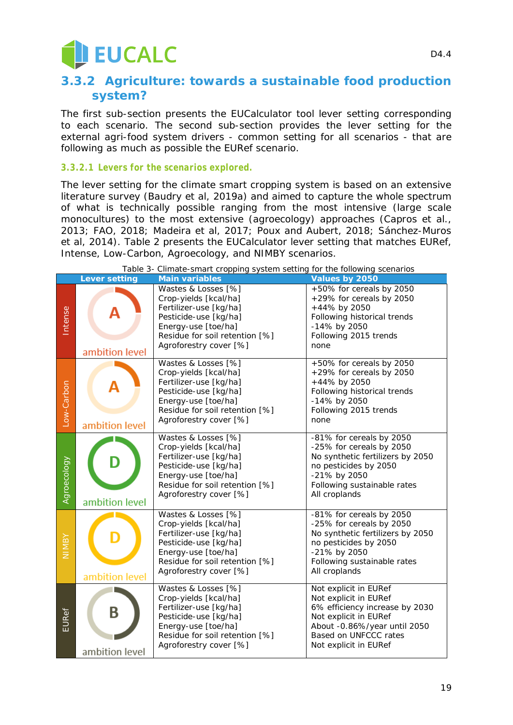## EUCALC

#### **3.3.2 Agriculture: towards a sustainable food production system?**

The first sub-section presents the EUCalculator tool lever setting corresponding to each scenario. The second sub-section provides the lever setting for the external agri-food system drivers - *common setting for all scenarios* - that are following as much as possible the EURef scenario.

#### *3.3.2.1 Levers for the scenarios explored.*

The lever setting for the *climate smart cropping system* is based on an extensive literature survey (Baudry et al, 2019a) and aimed to capture the whole spectrum of what is technically possible ranging from the most intensive (large scale monocultures) to the most extensive (agroecology) approaches (Capros et al., 2013; FAO, 2018; Madeira et al, 2017; Poux and Aubert, 2018; Sánchez-Muros et al, 2014). Table 2 presents the EUCalculator lever setting that matches EURef, Intense, Low-Carbon, Agroecology, and NIMBY scenarios.

|             | i upic o<br><b>Lever setting</b> | emmeter sing the opping system setting for the following secritatios<br><b>Main variables</b>                                                                                      | Values by 2050                                                                                                                                                                              |
|-------------|----------------------------------|------------------------------------------------------------------------------------------------------------------------------------------------------------------------------------|---------------------------------------------------------------------------------------------------------------------------------------------------------------------------------------------|
| Intense     | ambition level                   | Wastes & Losses [%]<br>Crop-yields [kcal/ha]<br>Fertilizer-use [kg/ha]<br>Pesticide-use [kg/ha]<br>Energy-use [toe/ha]<br>Residue for soil retention [%]<br>Agroforestry cover [%] | +50% for cereals by 2050<br>+29% for cereals by 2050<br>+44% by 2050<br>Following historical trends<br>-14% by 2050<br>Following 2015 trends<br>none                                        |
| Low-Carbon  | ambition level                   | Wastes & Losses [%]<br>Crop-yields [kcal/ha]<br>Fertilizer-use [kg/ha]<br>Pesticide-use [kg/ha]<br>Energy-use [toe/ha]<br>Residue for soil retention [%]<br>Agroforestry cover [%] | +50% for cereals by 2050<br>+29% for cereals by 2050<br>+44% by 2050<br>Following historical trends<br>-14% by 2050<br>Following 2015 trends<br>none                                        |
| Agroecology | ambition level                   | Wastes & Losses [%]<br>Crop-yields [kcal/ha]<br>Fertilizer-use [kg/ha]<br>Pesticide-use [kg/ha]<br>Energy-use [toe/ha]<br>Residue for soil retention [%]<br>Agroforestry cover [%] | -81% for cereals by 2050<br>-25% for cereals by 2050<br>No synthetic fertilizers by 2050<br>no pesticides by 2050<br>-21% by 2050<br>Following sustainable rates<br>All croplands           |
| NIMB        | ambition level                   | Wastes & Losses [%]<br>Crop-yields [kcal/ha]<br>Fertilizer-use [kg/ha]<br>Pesticide-use [kg/ha]<br>Energy-use [toe/ha]<br>Residue for soil retention [%]<br>Agroforestry cover [%] | -81% for cereals by 2050<br>-25% for cereals by 2050<br>No synthetic fertilizers by 2050<br>no pesticides by 2050<br>-21% by 2050<br>Following sustainable rates<br>All croplands           |
| EURef       | B<br>ambition level              | Wastes & Losses [%]<br>Crop-yields [kcal/ha]<br>Fertilizer-use [kg/ha]<br>Pesticide-use [kg/ha]<br>Energy-use [toe/ha]<br>Residue for soil retention [%]<br>Agroforestry cover [%] | Not explicit in EURef<br>Not explicit in EURef<br>6% efficiency increase by 2030<br>Not explicit in EURef<br>About -0.86%/year until 2050<br>Based on UNFCCC rates<br>Not explicit in EURef |

*Table 3- Climate-smart cropping system setting for the following scenarios*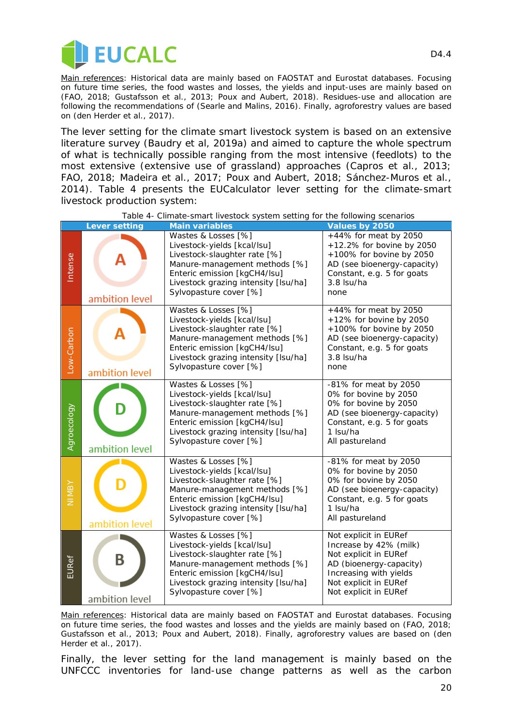

*Main references: Historical data are mainly based on FAOSTAT and Eurostat databases. Focusing on future time series, the food wastes and losses, the yields and input-uses are mainly based on (FAO, 2018; Gustafsson et al., 2013; Poux and Aubert, 2018). Residues-use and allocation are following the recommendations of (Searle and Malins, 2016). Finally, agroforestry values are based on (den Herder et al., 2017).*

The lever setting for the *climate smart livestock system* is based on an extensive literature survey (Baudry et al, 2019a) and aimed to capture the whole spectrum of what is technically possible ranging from the most intensive (feedlots) to the most extensive (extensive use of grassland) approaches (Capros et al., 2013; FAO, 2018; Madeira et al., 2017; Poux and Aubert, 2018; Sánchez-Muros et al., 2014). Table 4 presents the EUCalculator lever setting for the climate-smart livestock production system:

|              | <b>Lever setting</b> | <b>Main variables</b>                                                                                                                                                                                                 | Values by 2050                                                                                                                                                                  |
|--------------|----------------------|-----------------------------------------------------------------------------------------------------------------------------------------------------------------------------------------------------------------------|---------------------------------------------------------------------------------------------------------------------------------------------------------------------------------|
| Intense      | ambition level       | Wastes & Losses [%]<br>Livestock-yields [kcal/lsu]<br>Livestock-slaughter rate [%]<br>Manure-management methods [%]<br>Enteric emission [kgCH4/lsu]<br>Livestock grazing intensity [Isu/ha]<br>Sylvopasture cover [%] | +44% for meat by 2050<br>+12.2% for bovine by 2050<br>+100% for bovine by 2050<br>AD (see bioenergy-capacity)<br>Constant, e.g. 5 for goats<br>3.8 Isu/ha<br>none               |
| Low-Carbon   | ambition level       | Wastes & Losses [%]<br>Livestock-yields [kcal/lsu]<br>Livestock-slaughter rate [%]<br>Manure-management methods [%]<br>Enteric emission [kgCH4/lsu]<br>Livestock grazing intensity [Isu/ha]<br>Sylvopasture cover [%] | +44% for meat by 2050<br>+12% for bovine by 2050<br>+100% for bovine by 2050<br>AD (see bioenergy-capacity)<br>Constant, e.g. 5 for goats<br>3.8 Isu/ha<br>none                 |
| Agroecology  | ambition level       | Wastes & Losses [%]<br>Livestock-yields [kcal/lsu]<br>Livestock-slaughter rate [%]<br>Manure-management methods [%]<br>Enteric emission [kgCH4/lsu]<br>Livestock grazing intensity [Isu/ha]<br>Sylvopasture cover [%] | -81% for meat by 2050<br>0% for bovine by 2050<br>0% for bovine by 2050<br>AD (see bioenergy-capacity)<br>Constant, e.g. 5 for goats<br>1 Isu/ha<br>All pastureland             |
| <b>ABMIN</b> | ambition level       | Wastes & Losses [%]<br>Livestock-yields [kcal/lsu]<br>Livestock-slaughter rate [%]<br>Manure-management methods [%]<br>Enteric emission [kgCH4/lsu]<br>Livestock grazing intensity [Isu/ha]<br>Sylvopasture cover [%] | -81% for meat by 2050<br>0% for bovine by 2050<br>0% for bovine by 2050<br>AD (see bioenergy-capacity)<br>Constant, e.g. 5 for goats<br>1 Isu/ha<br>All pastureland             |
| <b>EURef</b> | B<br>ambition level  | Wastes & Losses [%]<br>Livestock-yields [kcal/lsu]<br>Livestock-slaughter rate [%]<br>Manure-management methods [%]<br>Enteric emission [kgCH4/lsu]<br>Livestock grazing intensity [Isu/ha]<br>Sylvopasture cover [%] | Not explicit in EURef<br>Increase by 42% (milk)<br>Not explicit in EURef<br>AD (bioenergy-capacity)<br>Increasing with yields<br>Not explicit in EURef<br>Not explicit in EURef |

*Table 4- Climate-smart livestock system setting for the following scenarios*

*Main references: Historical data are mainly based on FAOSTAT and Eurostat databases. Focusing on future time series, the food wastes and losses and the yields are mainly based on (FAO, 2018; Gustafsson et al., 2013; Poux and Aubert, 2018). Finally, agroforestry values are based on (den Herder et al., 2017).*

Finally, the lever setting for the *land management* is mainly based on the UNFCCC inventories for land-use change patterns as well as the carbon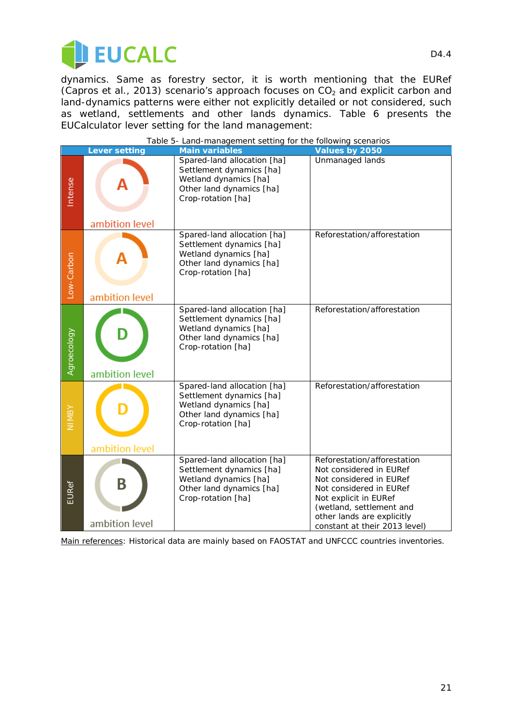

dynamics. Same as forestry sector, it is worth mentioning that the EURef (Capros et al., 2013) scenario's approach focuses on  $CO<sub>2</sub>$  and explicit carbon and land-dynamics patterns were either not explicitly detailed or not considered, such as wetland, settlements and other lands dynamics. Table 6 presents the EUCalculator lever setting for the land management:

|              | <b>Lever setting</b> | Land management setting for the following secrial los<br><b>Main variables</b>                                                     | Values by 2050                                                                                                                                                                                                                   |
|--------------|----------------------|------------------------------------------------------------------------------------------------------------------------------------|----------------------------------------------------------------------------------------------------------------------------------------------------------------------------------------------------------------------------------|
| Intense      | ambition level       | Spared-land allocation [ha]<br>Settlement dynamics [ha]<br>Wetland dynamics [ha]<br>Other land dynamics [ha]<br>Crop-rotation [ha] | Unmanaged lands                                                                                                                                                                                                                  |
| Low-Carbon   | ambition level       | Spared-land allocation [ha]<br>Settlement dynamics [ha]<br>Wetland dynamics [ha]<br>Other land dynamics [ha]<br>Crop-rotation [ha] | Reforestation/afforestation                                                                                                                                                                                                      |
| Agroecology  | ambition level       | Spared-land allocation [ha]<br>Settlement dynamics [ha]<br>Wetland dynamics [ha]<br>Other land dynamics [ha]<br>Crop-rotation [ha] | Reforestation/afforestation                                                                                                                                                                                                      |
| <b>NIMBY</b> | ambition level       | Spared-land allocation [ha]<br>Settlement dynamics [ha]<br>Wetland dynamics [ha]<br>Other land dynamics [ha]<br>Crop-rotation [ha] | Reforestation/afforestation                                                                                                                                                                                                      |
| <b>EURef</b> | B<br>ambition level  | Spared-land allocation [ha]<br>Settlement dynamics [ha]<br>Wetland dynamics [ha]<br>Other land dynamics [ha]<br>Crop-rotation [ha] | Reforestation/afforestation<br>Not considered in EURef<br>Not considered in EURef<br>Not considered in EURef<br>Not explicit in EURef<br>(wetland, settlement and<br>other lands are explicitly<br>constant at their 2013 level) |

*Table 5- Land-management setting for the following scenarios*

*Main references:* Historical data are mainly based on FAOSTAT and UNFCCC countries inventories.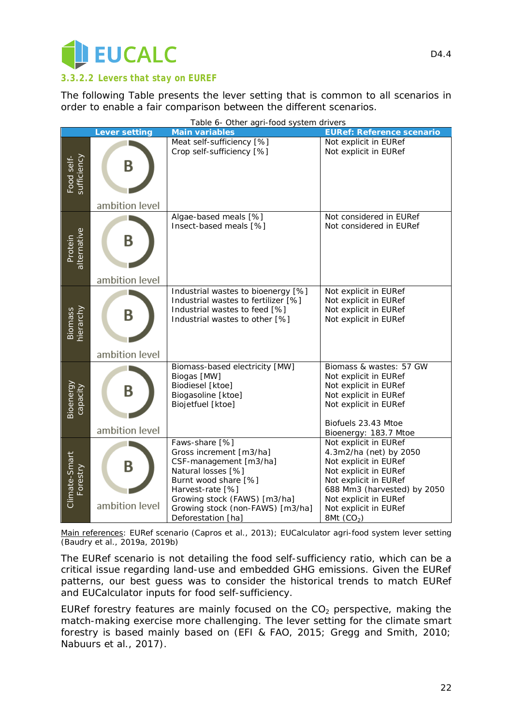

#### *3.3.2.2 Levers that stay on EUREF*

The following Table presents the lever setting that is common to all scenarios in order to enable a fair comparison between the different scenarios.

| Table 6- Other agri-food system drivers |                      |                                                                                                                                                                                                                                 |                                                                                                                                                                                                                            |
|-----------------------------------------|----------------------|---------------------------------------------------------------------------------------------------------------------------------------------------------------------------------------------------------------------------------|----------------------------------------------------------------------------------------------------------------------------------------------------------------------------------------------------------------------------|
|                                         | <b>Lever setting</b> | <b>Main variables</b>                                                                                                                                                                                                           | <b>EURef: Reference scenario</b>                                                                                                                                                                                           |
| Food self-<br>sufficiency               | B                    | Meat self-sufficiency [%]<br>Crop self-sufficiency [%]                                                                                                                                                                          | Not explicit in EURef<br>Not explicit in EURef                                                                                                                                                                             |
|                                         | ambition level       |                                                                                                                                                                                                                                 |                                                                                                                                                                                                                            |
| Protein<br>alternative                  | B<br>ambition level  | Algae-based meals [%]<br>Insect-based meals [%]                                                                                                                                                                                 | Not considered in EURef<br>Not considered in EURef                                                                                                                                                                         |
|                                         |                      |                                                                                                                                                                                                                                 |                                                                                                                                                                                                                            |
| Biomass<br>hierarchy                    | B                    | Industrial wastes to bioenergy [%]<br>Industrial wastes to fertilizer [%]<br>Industrial wastes to feed [%]<br>Industrial wastes to other [%]                                                                                    | Not explicit in EURef<br>Not explicit in EURef<br>Not explicit in EURef<br>Not explicit in EURef                                                                                                                           |
|                                         | ambition level       |                                                                                                                                                                                                                                 |                                                                                                                                                                                                                            |
| Bioenergy<br>capacity                   | B                    | Biomass-based electricity [MW]<br>Biogas [MW]<br>Biodiesel [ktoe]<br>Biogasoline [ktoe]<br>Biojetfuel [ktoe]                                                                                                                    | Biomass & wastes: 57 GW<br>Not explicit in EURef<br>Not explicit in EURef<br>Not explicit in EURef<br>Not explicit in EURef<br>Biofuels 23.43 Mtoe                                                                         |
|                                         | ambition level       |                                                                                                                                                                                                                                 | Bioenergy: 183.7 Mtoe                                                                                                                                                                                                      |
| Climate-Smart<br>Forestry               | B<br>ambition level  | Faws-share [%]<br>Gross increment [m3/ha]<br>CSF-management [m3/ha]<br>Natural losses [%]<br>Burnt wood share [%]<br>Harvest-rate [%]<br>Growing stock (FAWS) [m3/ha]<br>Growing stock (non-FAWS) [m3/ha]<br>Deforestation [ha] | Not explicit in EURef<br>4.3m2/ha (net) by 2050<br>Not explicit in EURef<br>Not explicit in EURef<br>Not explicit in EURef<br>688 Mm3 (harvested) by 2050<br>Not explicit in EURef<br>Not explicit in EURef<br>8Mt $(CO2)$ |

*Table 6- Other agri-food system drivers* 

*Main references: EURef scenario (Capros et al., 2013); EUCalculator agri-food system lever setting (Baudry et al., 2019a, 2019b)*

The EURef scenario is not detailing the food self-sufficiency ratio, which can be a critical issue regarding land-use and embedded GHG emissions. Given the EURef patterns, our best guess was to consider the historical trends to match EURef and EUCalculator inputs for food self-sufficiency.

EURef forestry features are mainly focused on the  $CO<sub>2</sub>$  perspective, making the match-making exercise more challenging. The lever setting for the *climate smart forestry* is based mainly based on (EFI & FAO, 2015; Gregg and Smith, 2010; Nabuurs et al., 2017).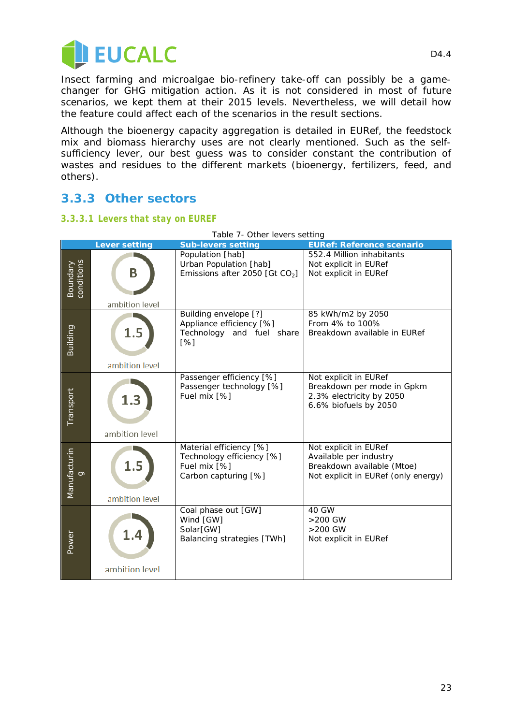

Insect farming and microalgae bio-refinery take-off can possibly be a gamechanger for GHG mitigation action. As it is not considered in most of future scenarios, we kept them at their 2015 levels. Nevertheless, we will detail how the feature could affect each of the scenarios in the result sections.

Although the bioenergy capacity aggregation is detailed in EURef, the feedstock mix and biomass hierarchy uses are not clearly mentioned. Such as the selfsufficiency lever, our best guess was to consider constant the contribution of wastes and residues to the different markets (bioenergy, fertilizers, feed, and others).

#### **3.3.3 Other sectors**

#### *3.3.3.1 Levers that stay on EUREF*

| Table 7- Other levers setting |                       |                                                                                              |                                                                                                                      |  |
|-------------------------------|-----------------------|----------------------------------------------------------------------------------------------|----------------------------------------------------------------------------------------------------------------------|--|
|                               | <b>Lever setting</b>  | <b>Sub-levers setting</b>                                                                    | <b>EURef: Reference scenario</b>                                                                                     |  |
| Boundary<br>conditions        | B<br>ambition level   | Population [hab]<br>Urban Population [hab]<br>Emissions after 2050 [Gt $CO2$ ]               | 552.4 Million inhabitants<br>Not explicit in EURef<br>Not explicit in EURef                                          |  |
| Building                      | 1.5<br>ambition level | Building envelope [?]<br>Appliance efficiency [%]<br>Technology and fuel share<br>[%]        | 85 kWh/m2 by 2050<br>From 4% to 100%<br>Breakdown available in EURef                                                 |  |
| Transport                     | 1.3<br>ambition level | Passenger efficiency [%]<br>Passenger technology [%]<br>Fuel mix [%]                         | Not explicit in EURef<br>Breakdown per mode in Gpkm<br>2.3% electricity by 2050<br>6.6% biofuels by 2050             |  |
| Manufacturin<br>Ō             | 1.5<br>ambition level | Material efficiency [%]<br>Technology efficiency [%]<br>Fuel mix [%]<br>Carbon capturing [%] | Not explicit in EURef<br>Available per industry<br>Breakdown available (Mtoe)<br>Not explicit in EURef (only energy) |  |
| Power                         | ambition level        | Coal phase out [GW]<br>Wind [GW]<br>Solar[GW]<br>Balancing strategies [TWh]                  | 40 GW<br>>200 GW<br>>200 GW<br>Not explicit in EURef                                                                 |  |

*Table 7- Other levers setting*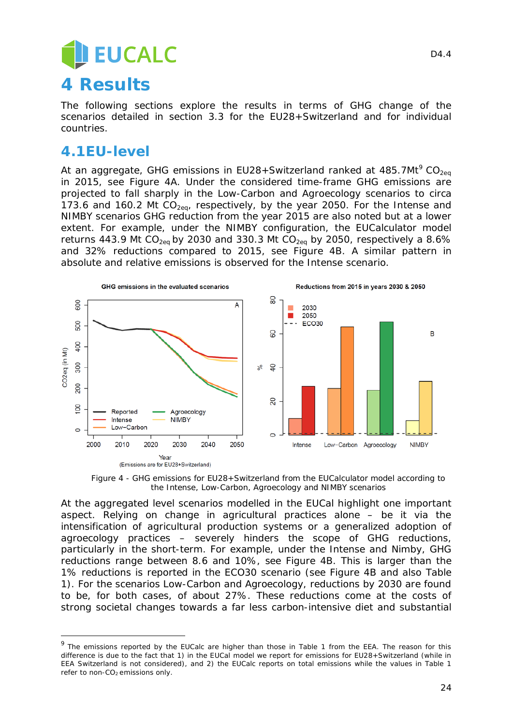## **EUCALC 4 Results**

The following sections explore the results in terms of GHG change of the scenarios detailed in section [3.3](#page-16-0) for the EU28+Switzerland and for individual countries.

### **4.1EU-level**

l,

At an aggregate, GHG emissions in EU28+Switzerland ranked at 485.7Mt<sup>[9](#page-23-1)</sup> CO<sub>2eq</sub> in 2015, see [Figure 4A](#page-23-0). Under the considered time-frame GHG emissions are projected to fall sharply in the Low-Carbon and Agroecology scenarios to circa 173.6 and 160.2 Mt  $CO<sub>2ea</sub>$ , respectively, by the year 2050. For the Intense and NIMBY scenarios GHG reduction from the year 2015 are also noted but at a lower extent. For example, under the NIMBY configuration, the EUCalculator model returns 443.9 Mt  $CO<sub>2ea</sub>$  by 2030 and 330.3 Mt  $CO<sub>2ea</sub>$  by 2050, respectively a 8.6% and 32% reductions compared to 2015, see [Figure 4B](#page-23-0). A similar pattern in absolute and relative emissions is observed for the Intense scenario.



*Figure 4 - GHG emissions for EU28+Switzerland from the EUCalculator model according to the Intense, Low-Carbon, Agroecology and NIMBY scenarios*

<span id="page-23-0"></span>At the aggregated level scenarios modelled in the EUCal highlight one important aspect. Relying on change in agricultural practices alone – be it via the intensification of agricultural production systems or a generalized adoption of agroecology practices – severely hinders the scope of GHG reductions, particularly in the short-term. For example, under the Intense and Nimby, GHG reductions range between 8.6 and 10%, see [Figure 4B](#page-23-0). This is larger than the 1% reductions is reported in the ECO30 scenario (see [Figure 4B](#page-23-0) and also [Table](#page-6-3)  [1\)](#page-6-3). For the scenarios Low-Carbon and Agroecology, reductions by 2030 are found to be, for both cases, of about 27%. These reductions come at the costs of strong societal changes towards a far less carbon-intensive diet and substantial

<span id="page-23-1"></span><sup>&</sup>lt;sup>9</sup> The emissions reported by the EUCalc are higher than those in Table 1 from the EEA. The reason for this difference is due to the fact that 1) in the EUCal model we report for emissions for EU28+Switzerland (while in EEA Switzerland is not considered), and 2) the EUCalc reports on total emissions while the values in Table 1 refer to non- $CO<sub>2</sub>$  emissions only.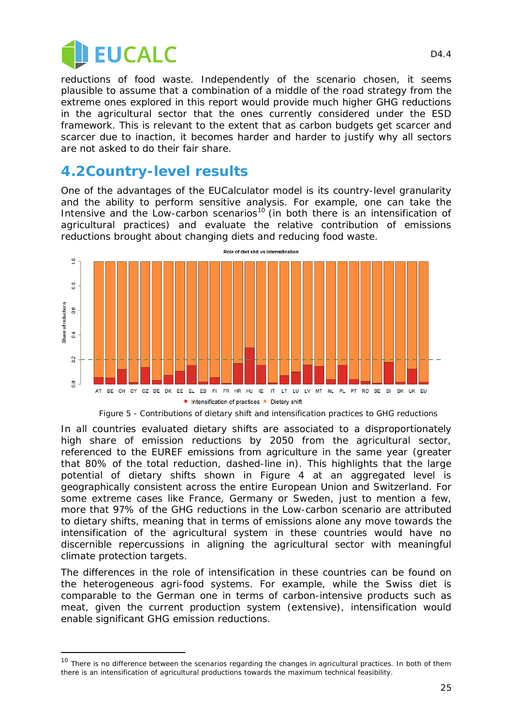

l,

reductions of food waste. Independently of the scenario chosen, it seems plausible to assume that a combination of a middle of the road strategy from the extreme ones explored in this report would provide much higher GHG reductions in the agricultural sector that the ones currently considered under the ESD framework. This is relevant to the extent that as carbon budgets get scarcer and scarcer due to inaction, it becomes harder and harder to justify why all sectors are not asked to do their fair share.

#### **4.2Country-level results**

One of the advantages of the EUCalculator model is its country-level granularity and the ability to perform sensitive analysis. For example, one can take the Intensive and the Low-carbon scenarios<sup>[10](#page-24-0)</sup> (in both there is an intensification of agricultural practices) and evaluate the relative contribution of emissions reductions brought about changing diets and reducing food waste.



*Figure 5 - Contributions of dietary shift and intensification practices to GHG reductions*

<span id="page-24-1"></span>In all countries evaluated dietary shifts are associated to a disproportionately high share of emission reductions by 2050 from the agricultural sector, referenced to the EUREF emissions from agriculture in the same year (greater that 80% of the total reduction, dashed-line in). This highlights that the large potential of dietary shifts shown in [Figure 4](#page-23-0) at an aggregated level is geographically consistent across the entire European Union and Switzerland. For some extreme cases like France, Germany or Sweden, just to mention a few, more that 97% of the GHG reductions in the Low-carbon scenario are attributed to dietary shifts, meaning that in terms of emissions alone any move towards the intensification of the agricultural system in these countries would have no discernible repercussions in aligning the agricultural sector with meaningful climate protection targets.

The differences in the role of intensification in these countries can be found on the heterogeneous agri-food systems. For example, while the Swiss diet is comparable to the German one in terms of carbon-intensive products such as meat, given the current production system (extensive), intensification would enable significant GHG emission reductions.

<span id="page-24-0"></span><sup>&</sup>lt;sup>10</sup> There is no difference between the scenarios regarding the changes in agricultural practices. In both of them there is an intensification of agricultural productions towards the maximum technical feasibility.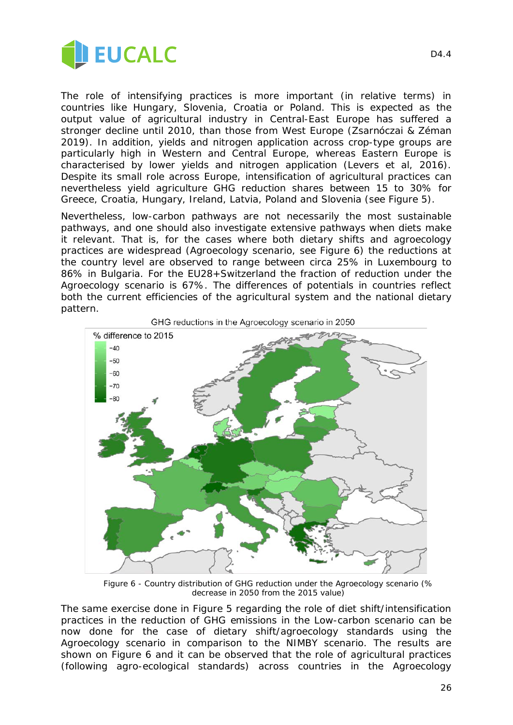

The role of intensifying practices is more important (in relative terms) in countries like Hungary, Slovenia, Croatia or Poland. This is expected as the output value of agricultural industry in Central-East Europe has suffered a stronger decline until 2010, than those from West Europe (Zsarnóczai & Zéman 2019). In addition, yields and nitrogen application across crop-type groups are particularly high in Western and Central Europe, whereas Eastern Europe is characterised by lower yields and nitrogen application (Levers et al, 2016). Despite its small role across Europe, intensification of agricultural practices can nevertheless yield agriculture GHG reduction shares between 15 to 30% for Greece, Croatia, Hungary, Ireland, Latvia, Poland and Slovenia (see [Figure 5\)](#page-24-1).

Nevertheless, low-carbon pathways are not necessarily the most sustainable pathways, and one should also investigate extensive pathways when diets make it relevant. That is, for the cases where both dietary shifts and agroecology practices are widespread (Agroecology scenario, see [Figure 6\)](#page-25-0) the reductions at the country level are observed to range between circa 25% in Luxembourg to 86% in Bulgaria. For the EU28+Switzerland the fraction of reduction under the Agroecology scenario is 67%. The differences of potentials in countries reflect both the current efficiencies of the agricultural system and the national dietary pattern.



*Figure 6 - Country distribution of GHG reduction under the Agroecology scenario (% decrease in 2050 from the 2015 value)*

<span id="page-25-0"></span>The same exercise done in [Figure 5](#page-24-1) regarding the role of diet shift/intensification practices in the reduction of GHG emissions in the Low-carbon scenario can be now done for the case of dietary shift/agroecology standards using the Agroecology scenario in comparison to the NIMBY scenario. The results are shown on [Figure 6](#page-26-0) and it can be observed that the role of agricultural practices (following agro-ecological standards) across countries in the Agroecology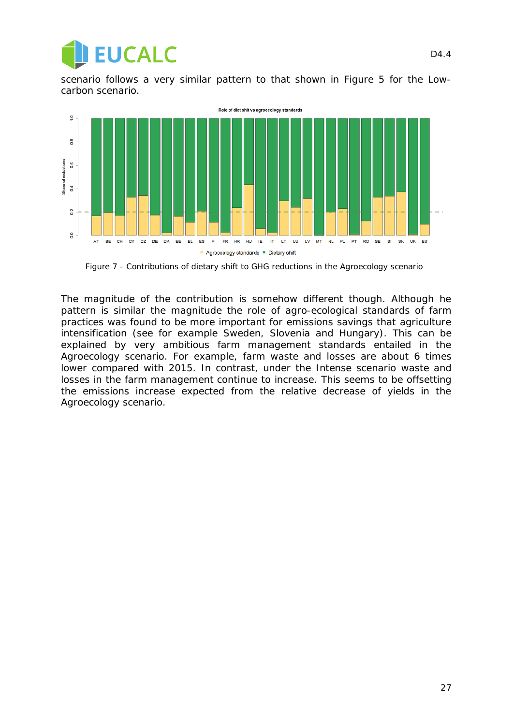

<span id="page-26-0"></span>scenario follows a very similar pattern to that shown in [Figure 5](#page-24-1) for the Lowcarbon scenario.



*Figure 7 - Contributions of dietary shift to GHG reductions in the Agroecology scenario*

The magnitude of the contribution is somehow different though. Although he pattern is similar the magnitude the role of agro-ecological standards of farm practices was found to be more important for emissions savings that agriculture intensification (see for example Sweden, Slovenia and Hungary). This can be explained by very ambitious farm management standards entailed in the Agroecology scenario. For example, farm waste and losses are about 6 times lower compared with 2015. In contrast, under the Intense scenario waste and losses in the farm management continue to increase. This seems to be offsetting the emissions increase expected from the relative decrease of yields in the Agroecology scenario.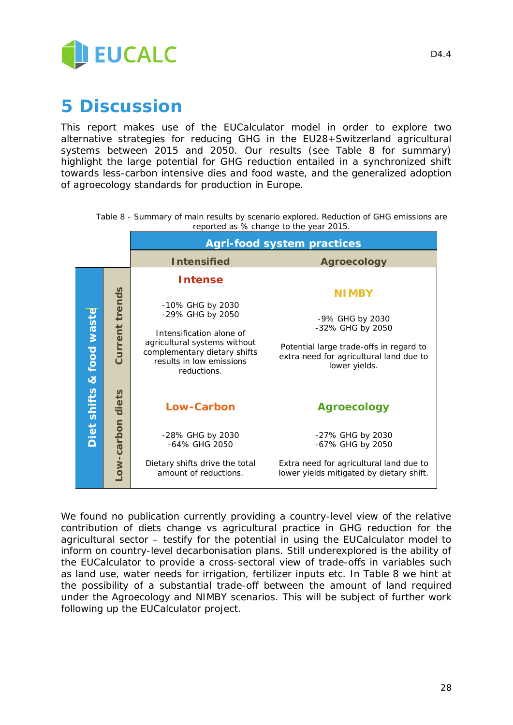

## **5 Discussion**

This report makes use of the EUCalculator model in order to explore two alternative strategies for reducing GHG in the EU28+Switzerland agricultural systems between 2015 and 2050. Our results (see [Table 8](#page-27-0) for summary) highlight the large potential for GHG reduction entailed in a synchronized shift towards less-carbon intensive dies and food waste, and the generalized adoption of agroecology standards for production in Europe.

<span id="page-27-0"></span>

|                             |                 | <b>Agri-food system practices</b>                                                                                                                                                             |                                                                                                                                                            |  |
|-----------------------------|-----------------|-----------------------------------------------------------------------------------------------------------------------------------------------------------------------------------------------|------------------------------------------------------------------------------------------------------------------------------------------------------------|--|
|                             |                 | <b>Intensified</b>                                                                                                                                                                            | <b>Agroecology</b>                                                                                                                                         |  |
| & food waste<br>Diet shifts | Current trends  | <b>Intense</b><br>-10% GHG by 2030<br>-29% GHG by 2050<br>Intensification alone of<br>agricultural systems without<br>complementary dietary shifts<br>results in low emissions<br>reductions. | <b>NIMBY</b><br>-9% GHG by 2030<br>-32% GHG by 2050<br>Potential large trade-offs in regard to<br>extra need for agricultural land due to<br>lower yields. |  |
|                             | ow-carbon diets | <b>Low-Carbon</b><br>-28% GHG by 2030<br>-64% GHG 2050<br>Dietary shifts drive the total<br>amount of reductions.                                                                             | Agroecology<br>-27% GHG by 2030<br>-67% GHG by 2050<br>Extra need for agricultural land due to<br>lower yields mitigated by dietary shift.                 |  |

*Table 8 - Summary of main results by scenario explored. Reduction of GHG emissions are reported as % change to the year 2015.*

We found no publication currently providing a country-level view of the relative contribution of diets change vs agricultural practice in GHG reduction for the agricultural sector – testify for the potential in using the EUCalculator model to inform on country-level decarbonisation plans. Still underexplored is the ability of the EUCalculator to provide a cross-sectoral view of trade-offs in variables such as land use, water needs for irrigation, fertilizer inputs etc. In [Table 8](#page-27-0) we hint at the possibility of a substantial trade-off between the amount of land required under the Agroecology and NIMBY scenarios. This will be subject of further work following up the EUCalculator project.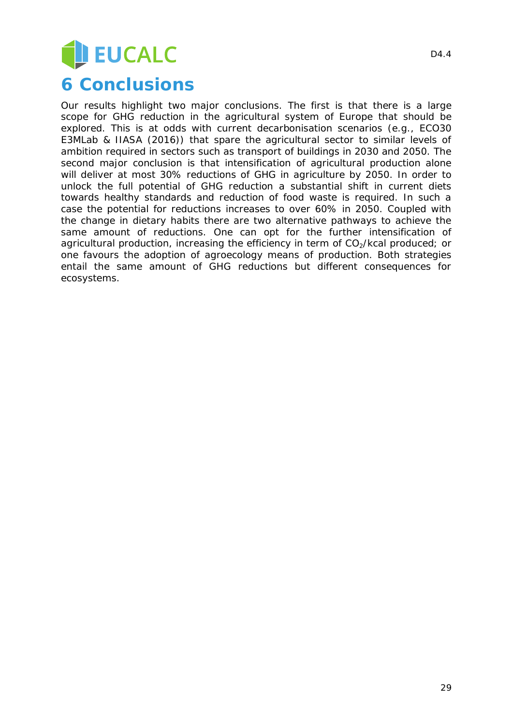## EUCALC

## **6 Conclusions**

Our results highlight two major conclusions. The first is that there is a large scope for GHG reduction in the agricultural system of Europe that should be explored. This is at odds with current decarbonisation scenarios (e.g., ECO30 E3MLab & IIASA (2016)) that spare the agricultural sector to similar levels of ambition required in sectors such as transport of buildings in 2030 and 2050. The second major conclusion is that intensification of agricultural production alone will deliver at most 30% reductions of GHG in agriculture by 2050. In order to unlock the full potential of GHG reduction a substantial shift in current diets towards healthy standards and reduction of food waste is required. In such a case the potential for reductions increases to over 60% in 2050. Coupled with the change in dietary habits there are two alternative pathways to achieve the same amount of reductions. One can opt for the further intensification of agricultural production, increasing the efficiency in term of  $CO<sub>2</sub>/kcal$  produced; or one favours the adoption of agroecology means of production. Both strategies entail the same amount of GHG reductions but different consequences for ecosystems.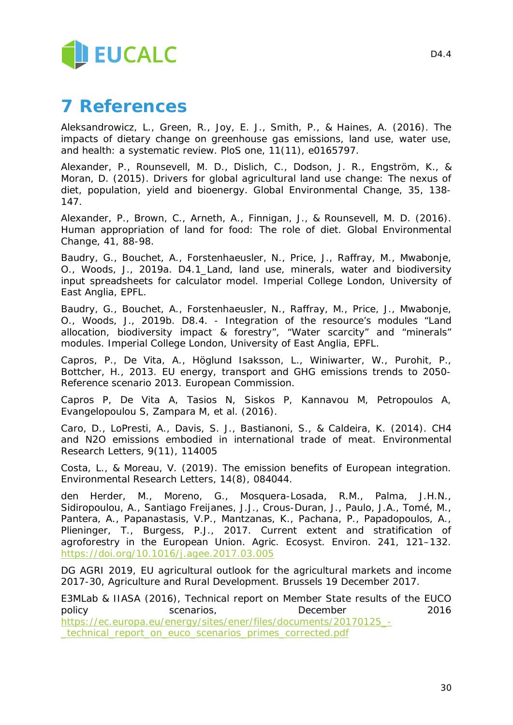

## **7 References**

Aleksandrowicz, L., Green, R., Joy, E. J., Smith, P., & Haines, A. (2016). The impacts of dietary change on greenhouse gas emissions, land use, water use, and health: a systematic review. PloS one, 11(11), e0165797.

Alexander, P., Rounsevell, M. D., Dislich, C., Dodson, J. R., Engström, K., & Moran, D. (2015). Drivers for global agricultural land use change: The nexus of diet, population, yield and bioenergy. *Global Environmental Change*, *35*, 138- 147.

Alexander, P., Brown, C., Arneth, A., Finnigan, J., & Rounsevell, M. D. (2016). Human appropriation of land for food: The role of diet. *Global Environmental Change*, *41*, 88-98.

Baudry, G., Bouchet, A., Forstenhaeusler, N., Price, J., Raffray, M., Mwabonje, O., Woods, J., 2019a. D4.1\_Land, land use, minerals, water and biodiversity input spreadsheets for calculator model. Imperial College London, University of East Anglia, EPFL.

Baudry, G., Bouchet, A., Forstenhaeusler, N., Raffray, M., Price, J., Mwabonje, O., Woods, J., 2019b. D8.4. - Integration of the resource's modules "Land allocation, biodiversity impact & forestry", "Water scarcity" and "minerals" modules. Imperial College London, University of East Anglia, EPFL.

Capros, P., De Vita, A., Höglund Isaksson, L., Winiwarter, W., Purohit, P., Bottcher, H., 2013. EU energy, transport and GHG emissions trends to 2050- Reference scenario 2013. European Commission.

Capros P, De Vita A, Tasios N, Siskos P, Kannavou M, Petropoulos A, Evangelopoulou S, Zampara M, et al. (2016).

Caro, D., LoPresti, A., Davis, S. J., Bastianoni, S., & Caldeira, K. (2014). CH4 and N2O emissions embodied in international trade of meat. *Environmental Research Letters*, *9*(11), 114005

Costa, L., & Moreau, V. (2019). The emission benefits of European integration. Environmental Research Letters, 14(8), 084044.

den Herder, M., Moreno, G., Mosquera-Losada, R.M., Palma, J.H.N., Sidiropoulou, A., Santiago Freijanes, J.J., Crous-Duran, J., Paulo, J.A., Tomé, M., Pantera, A., Papanastasis, V.P., Mantzanas, K., Pachana, P., Papadopoulos, A., Plieninger, T., Burgess, P.J., 2017. Current extent and stratification of agroforestry in the European Union. Agric. Ecosyst. Environ. 241, 121–132. <https://doi.org/10.1016/j.agee.2017.03.005>

DG AGRI 2019, EU agricultural outlook for the agricultural markets and income 2017-30, Agriculture and Rural Development. Brussels 19 December 2017.

E3MLab & IIASA (2016), Technical report on Member State results of the EUCO policy scenarios, December 2016 [https://ec.europa.eu/energy/sites/ener/files/documents/20170125\\_-](https://ec.europa.eu/energy/sites/ener/files/documents/20170125_-_technical_report_on_euco_scenarios_primes_corrected.pdf) [\\_technical\\_report\\_on\\_euco\\_scenarios\\_primes\\_corrected.pdf](https://ec.europa.eu/energy/sites/ener/files/documents/20170125_-_technical_report_on_euco_scenarios_primes_corrected.pdf)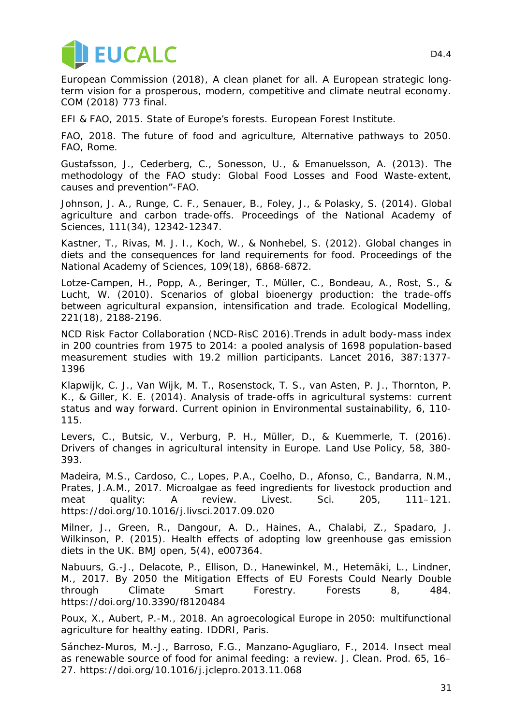

European Commission (2018), A clean planet for all. A European strategic long‐ term vision for a prosperous, modern, competitive and climate neutral economy. *COM (2018) 773 final*.

EFI & FAO, 2015. State of Europe's forests. European Forest Institute.

FAO, 2018. The future of food and agriculture, Alternative pathways to 2050. FAO, Rome.

Gustafsson, J., Cederberg, C., Sonesson, U., & Emanuelsson, A. (2013). The methodology of the FAO study: Global Food Losses and Food Waste-extent, causes and prevention"-FAO.

Johnson, J. A., Runge, C. F., Senauer, B., Foley, J., & Polasky, S. (2014). Global agriculture and carbon trade-offs. Proceedings of the National Academy of Sciences, 111(34), 12342-12347.

Kastner, T., Rivas, M. J. I., Koch, W., & Nonhebel, S. (2012). Global changes in diets and the consequences for land requirements for food. Proceedings of the National Academy of Sciences, 109(18), 6868-6872.

Lotze-Campen, H., Popp, A., Beringer, T., Müller, C., Bondeau, A., Rost, S., & Lucht, W. (2010). Scenarios of global bioenergy production: the trade-offs between agricultural expansion, intensification and trade. Ecological Modelling, 221(18), 2188-2196.

NCD Risk Factor Collaboration (NCD-RisC 2016).Trends in adult body-mass index in 200 countries from 1975 to 2014: a pooled analysis of 1698 population-based measurement studies with 19.2 million participants. Lancet 2016, 387:1377- 1396

Klapwijk, C. J., Van Wijk, M. T., Rosenstock, T. S., van Asten, P. J., Thornton, P. K., & Giller, K. E. (2014). Analysis of trade-offs in agricultural systems: current status and way forward. *Current opinion in Environmental sustainability*, *6*, 110- 115.

Levers, C., Butsic, V., Verburg, P. H., Müller, D., & Kuemmerle, T. (2016). Drivers of changes in agricultural intensity in Europe. *Land Use Policy*, *58*, 380- 393.

Madeira, M.S., Cardoso, C., Lopes, P.A., Coelho, D., Afonso, C., Bandarra, N.M., Prates, J.A.M., 2017. Microalgae as feed ingredients for livestock production and meat quality: A review. Livest. Sci. 205, 111-121. https://doi.org/10.1016/j.livsci.2017.09.020

Milner, J., Green, R., Dangour, A. D., Haines, A., Chalabi, Z., Spadaro, J. Wilkinson, P. (2015). Health effects of adopting low greenhouse gas emission diets in the UK. BMJ open, 5(4), e007364.

Nabuurs, G.-J., Delacote, P., Ellison, D., Hanewinkel, M., Hetemäki, L., Lindner, M., 2017. By 2050 the Mitigation Effects of EU Forests Could Nearly Double through Climate Smart Forestry. Forests 8, 484. https://doi.org/10.3390/f8120484

Poux, X., Aubert, P.-M., 2018. An agroecological Europe in 2050: multifunctional agriculture for healthy eating. IDDRI, Paris.

Sánchez-Muros, M.-J., Barroso, F.G., Manzano-Agugliaro, F., 2014. Insect meal as renewable source of food for animal feeding: a review. J. Clean. Prod. 65, 16– 27. https://doi.org/10.1016/j.jclepro.2013.11.068